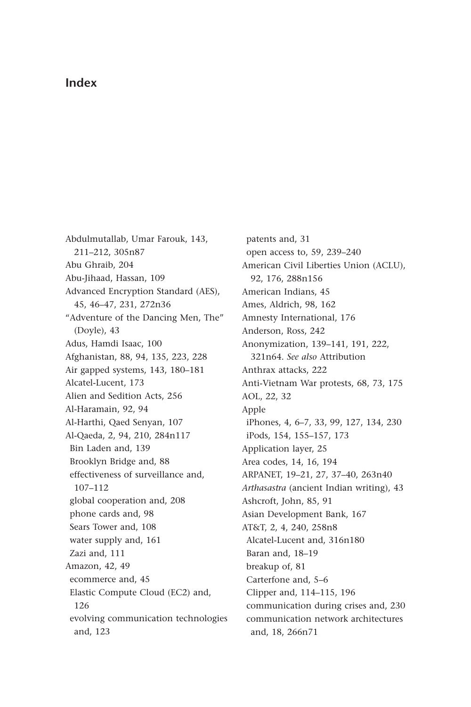## **Index**

Abdulmutallab, Umar Farouk, 143, 211-212, 305n87 Abu Ghraib, 204 Abu-Jihaad, Hassan, 109 Advanced Encryption Standard (AES), 45, 46-47, 231, 272n36 " Adventure of the Dancing Men, The" (Doyle), 43 Adus, Hamdi Isaac, 100 Afghanistan, 88, 94, 135, 223, 228 Air gapped systems, 143, 180-181 Alcatel-Lucent, 173 Alien and Sedition Acts, 256 Al-Haramain, 92, 94 Al-Harthi, Qaed Senyan, 107 Al-Qaeda, 2, 94, 210, 284n117 Bin Laden and, 139 Brooklyn Bridge and, 88 effectiveness of surveillance and, 107-112 global cooperation and, 208 phone cards and, 98 Sears Tower and, 108 water supply and, 161 Zazi and, 111 Amazon, 42, 49 ecommerce and, 45 Elastic Compute Cloud (EC2) and, 126 evolving communication technologies and, 123

patents and, 31 open access to, 59, 239-240 American Civil Liberties Union (ACLU), 92, 176, 288n156 American Indians, 45 Ames, Aldrich, 98, 162 Amnesty International, 176 Anderson, Ross, 242 Anonymization, 139-141, 191, 222, 321n64. *See also* Attribution Anthrax attacks, 222 Anti-Vietnam War protests, 68, 73, 175 AOL, 22, 32 Apple iPhones, 4, 6-7, 33, 99, 127, 134, 230 iPods, 154, 155-157, 173 Application layer, 25 Area codes, 14, 16, 194 ARPANET, 19-21, 27, 37-40, 263n40 *Arthasastra* (ancient Indian writing), 43 Ashcroft, John, 85, 91 Asian Development Bank, 167 AT&T, 2, 4, 240, 258n8 Alcatel-Lucent and, 316n180 Baran and, 18-19 breakup of, 81 Carterfone and, 5-6 Clipper and, 114-115, 196 communication during crises and, 230 communication network architectures and, 18, 266n71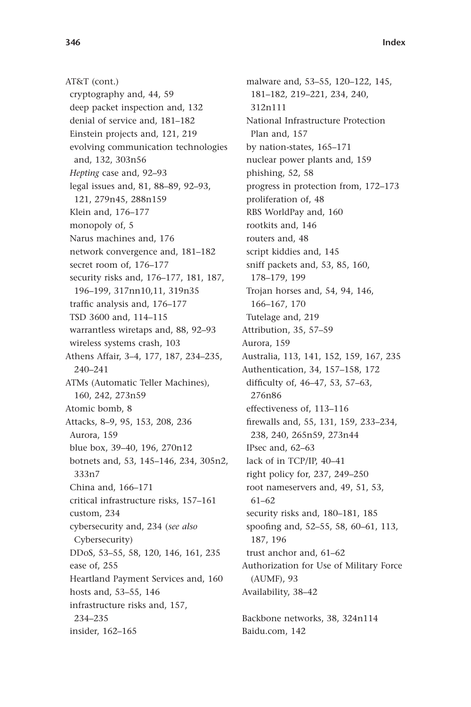AT&T (cont.) cryptography and, 44, 59 deep packet inspection and, 132 denial of service and, 181-182 Einstein projects and, 121, 219 evolving communication technologies and, 132, 303n56 *Hepting* case and, 92-93 legal issues and, 81, 88-89, 92-93, 121, 279n45, 288n159 Klein and, 176-177 monopoly of, 5 Narus machines and, 176 network convergence and, 181-182 secret room of, 176-177 security risks and, 176-177, 181, 187, 196 – 199, 317nn10,11, 319n35 traffic analysis and, 176-177 TSD 3600 and, 114-115 warrantless wiretaps and, 88, 92-93 wireless systems crash, 103 Athens Affair, 3-4, 177, 187, 234-235, 240-241 ATMs (Automatic Teller Machines), 160, 242, 273n59 Atomic bomb, 8 Attacks, 8-9, 95, 153, 208, 236 Aurora, 159 blue box, 39-40, 196, 270n12 botnets and, 53, 145-146, 234, 305n2, 333n7 China and, 166-171 critical infrastructure risks, 157-161 custom, 234 cybersecurity and, 234 ( *see also* Cybersecurity) DDoS, 53-55, 58, 120, 146, 161, 235 ease of, 255 Heartland Payment Services and, 160 hosts and, 53-55, 146 infrastructure risks and, 157, 234 – 235 insider, 162-165

malware and, 53-55, 120-122, 145, 181-182, 219-221, 234, 240, 312n111 National Infrastructure Protection Plan and, 157 by nation-states, 165-171 nuclear power plants and, 159 phishing, 52, 58 progress in protection from, 172–173 proliferation of, 48 RBS WorldPay and, 160 rootkits and, 146 routers and, 48 script kiddies and, 145 sniff packets and, 53, 85, 160, 178-179, 199 Trojan horses and, 54, 94, 146, 166-167, 170 Tutelage and, 219 Attribution, 35, 57-59 Aurora, 159 Australia, 113, 141, 152, 159, 167, 235 Authentication, 34, 157-158, 172 difficulty of, 46-47, 53, 57-63, 276n86 effectiveness of, 113-116 firewalls and, 55, 131, 159, 233-234, 238, 240, 265n59, 273n44 IPsec and, 62-63 lack of in TCP/IP, 40-41 right policy for, 237, 249-250 root nameservers and, 49, 51, 53, 61-62 security risks and, 180-181, 185 spoofing and, 52-55, 58, 60-61, 113, 187, 196 trust anchor and, 61-62 Authorization for Use of Military Force (AUMF), 93 Availability, 38-42 Backbone networks, 38, 324n114

Baidu.com, 142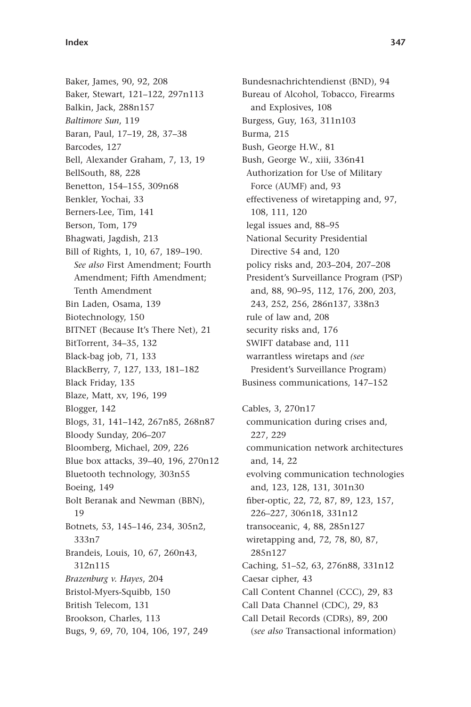Baker, James, 90, 92, 208 Baker, Stewart, 121-122, 297n113 Balkin, Jack, 288n157 *Baltimore Sun*, 119 Baran, Paul, 17-19, 28, 37-38 Barcodes, 127 Bell, Alexander Graham, 7, 13, 19 BellSouth, 88, 228 Benetton, 154-155, 309n68 Benkler, Yochai, 33 Berners-Lee, Tim, 141 Berson, Tom, 179 Bhagwati, Jagdish, 213 Bill of Rights, 1, 10, 67, 189-190. *See also* First Amendment; Fourth Amendment; Fifth Amendment; Tenth Amendment Bin Laden, Osama, 139 Biotechnology, 150 BITNET (Because It's There Net), 21 BitTorrent, 34-35, 132 Black-bag job, 71, 133 BlackBerry, 7, 127, 133, 181-182 Black Friday, 135 Blaze, Matt, xv, 196, 199 Blogger, 142 Blogs, 31, 141-142, 267n85, 268n87 Bloody Sunday, 206-207 Bloomberg, Michael, 209, 226 Blue box attacks, 39-40, 196, 270n12 Bluetooth technology, 303n55 Boeing, 149 Bolt Beranak and Newman (BBN), 19 Botnets, 53, 145-146, 234, 305n2, 333n7 Brandeis, Louis, 10, 67, 260n43, 312n115 *Brazenburg v. Hayes*, 204 Bristol-Myers-Squibb, 150 British Telecom, 131 Brookson, Charles, 113 Bugs, 9, 69, 70, 104, 106, 197, 249

Bundesnachrichtendienst (BND), 94 Bureau of Alcohol, Tobacco, Firearms and Explosives, 108 Burgess, Guy, 163, 311n103 Burma, 215 Bush, George H.W., 81 Bush, George W., xiii, 336n41 Authorization for Use of Military Force (AUMF) and, 93 effectiveness of wiretapping and, 97, 108, 111, 120 legal issues and, 88-95 National Security Presidential Directive 54 and, 120 policy risks and, 203-204, 207-208 President's Surveillance Program (PSP) and, 88, 90-95, 112, 176, 200, 203, 243, 252, 256, 286n137, 338n3 rule of law and, 208 security risks and, 176 SWIFT database and, 111 warrantless wiretaps and *(see* President's Surveillance Program) Business communications, 147-152

Cables, 3, 270n17 communication during crises and, 227, 229 communication network architectures and, 14, 22 evolving communication technologies and, 123, 128, 131, 301n30 fiber-optic, 22, 72, 87, 89, 123, 157, 226 – 227, 306n18, 331n12 transoceanic, 4, 88, 285n127 wiretapping and, 72, 78, 80, 87, 285n127 Caching, 51-52, 63, 276n88, 331n12 Caesar cipher, 43 Call Content Channel (CCC), 29, 83 Call Data Channel (CDC), 29, 83 Call Detail Records (CDRs), 89, 200 ( *see also* Transactional information)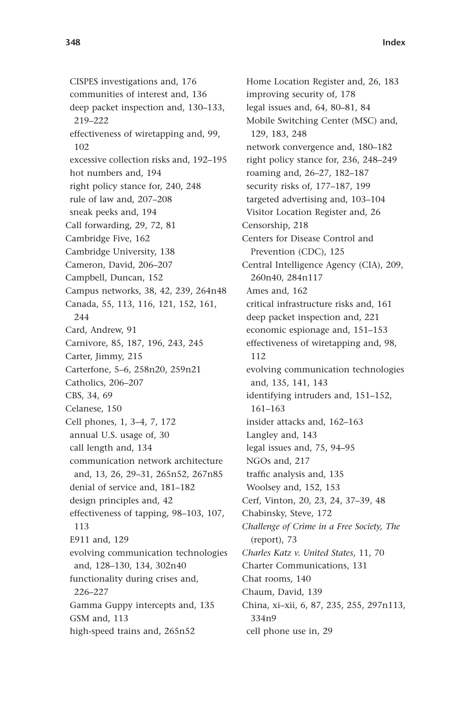**348 Index**

CISPES investigations and, 176 communities of interest and, 136 deep packet inspection and, 130-133, 219 – 222 effectiveness of wiretapping and, 99, 102 excessive collection risks and, 192-195 hot numbers and, 194 right policy stance for, 240, 248 rule of law and, 207-208 sneak peeks and, 194 Call forwarding, 29, 72, 81 Cambridge Five, 162 Cambridge University, 138 Cameron, David, 206-207 Campbell, Duncan, 152 Campus networks, 38, 42, 239, 264n48 Canada, 55, 113, 116, 121, 152, 161, 244 Card, Andrew, 91 Carnivore, 85, 187, 196, 243, 245 Carter, Jimmy, 215 Carterfone, 5-6, 258n20, 259n21 Catholics, 206-207 CBS, 34, 69 Celanese, 150 Cell phones, 1, 3-4, 7, 172 annual U.S. usage of, 30 call length and, 134 communication network architecture and, 13, 26, 29-31, 265n52, 267n85 denial of service and, 181-182 design principles and, 42 effectiveness of tapping, 98-103, 107, 113 E911 and, 129 evolving communication technologies and, 128-130, 134, 302n40 functionality during crises and, 226 – 227 Gamma Guppy intercepts and, 135 GSM and, 113 high-speed trains and, 265n52

Home Location Register and, 26, 183 improving security of, 178 legal issues and, 64, 80-81, 84 Mobile Switching Center (MSC) and, 129, 183, 248 network convergence and, 180-182 right policy stance for, 236, 248-249 roaming and, 26-27, 182-187 security risks of, 177-187, 199 targeted advertising and, 103-104 Visitor Location Register and, 26 Censorship, 218 Centers for Disease Control and Prevention (CDC), 125 Central Intelligence Agency (CIA), 209, 260n40, 284n117 Ames and, 162 critical infrastructure risks and, 161 deep packet inspection and, 221 economic espionage and, 151-153 effectiveness of wiretapping and, 98, 112 evolving communication technologies and, 135, 141, 143 identifying intruders and, 151-152, 161-163 insider attacks and, 162-163 Langley and, 143 legal issues and, 75, 94-95 NGOs and, 217 traffic analysis and, 135 Woolsey and, 152, 153 Cerf, Vinton, 20, 23, 24, 37-39, 48 Chabinsky, Steve, 172 *Challenge of Crime in a Free Society, The* (report), 73 *Charles Katz v. United States*, 11, 70 Charter Communications, 131 Chat rooms, 140 Chaum, David, 139 China, xi-xii, 6, 87, 235, 255, 297n113, 334n9 cell phone use in, 29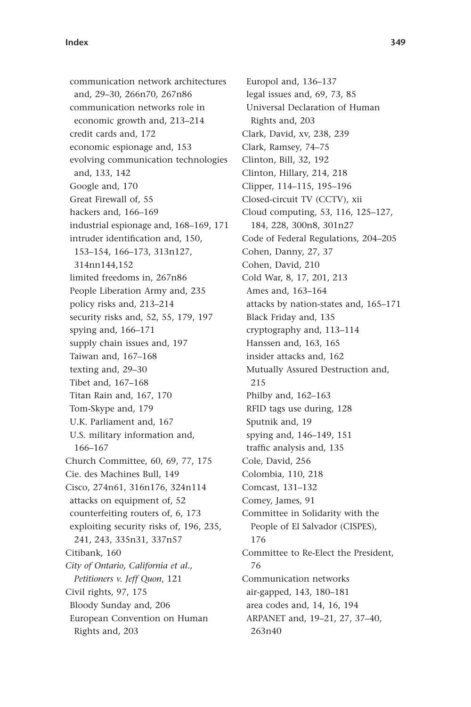communication network architectures and, 29-30, 266n70, 267n86 communication networks role in economic growth and, 213-214 credit cards and, 172 economic espionage and, 153 evolving communication technologies and, 133, 142 Google and, 170 Great Firewall of, 55 hackers and, 166-169 industrial espionage and, 168-169, 171 intruder identification and, 150, 153 – 154, 166 – 173, 313n127, 314nn144,152 limited freedoms in, 267n86 People Liberation Army and, 235 policy risks and, 213-214 security risks and, 52, 55, 179, 197 spying and,  $166 - 171$ supply chain issues and, 197 Taiwan and, 167-168 texting and, 29-30 Tibet and, 167-168 Titan Rain and, 167, 170 Tom-Skype and, 179 U.K. Parliament and, 167 U.S. military information and, 166-167 Church Committee, 60, 69, 77, 175 Cie. des Machines Bull, 149 Cisco, 274n61, 316n176, 324n114 attacks on equipment of, 52 counterfeiting routers of, 6, 173 exploiting security risks of, 196, 235, 241, 243, 335n31, 337n57 Citibank, 160 *City of Ontario, California et al., Petitioners v. Jeff Quon*, 121 Civil rights, 97, 175 Bloody Sunday and, 206 European Convention on Human Rights and, 203

Europol and, 136-137 legal issues and, 69, 73, 85 Universal Declaration of Human Rights and, 203 Clark, David, xv, 238, 239 Clark, Ramsey, 74-75 Clinton, Bill, 32, 192 Clinton, Hillary, 214, 218 Clipper, 114-115, 195-196 Closed-circuit TV (CCTV), xii Cloud computing, 53, 116, 125-127, 184, 228, 300n8, 301n27 Code of Federal Regulations, 204-205 Cohen, Danny, 27, 37 Cohen, David, 210 Cold War, 8, 17, 201, 213 Ames and, 163-164 attacks by nation-states and, 165-171 Black Friday and, 135 cryptography and, 113-114 Hanssen and, 163, 165 insider attacks and, 162 Mutually Assured Destruction and, 215 Philby and, 162-163 RFID tags use during, 128 Sputnik and, 19 spying and, 146-149, 151 traffic analysis and, 135 Cole, David, 256 Colombia, 110, 218 Comcast, 131-132 Comey, James, 91 Committee in Solidarity with the People of El Salvador (CISPES), 176 Committee to Re-Elect the President, 76 Communication networks air-gapped, 143, 180-181 area codes and, 14, 16, 194 ARPANET and, 19-21, 27, 37-40, 263n40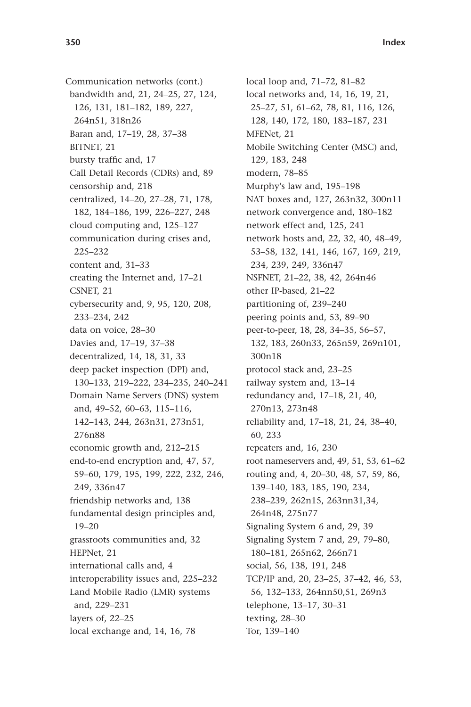Communication networks (cont.) bandwidth and, 21, 24-25, 27, 124, 126, 131, 181-182, 189, 227, 264n51, 318n26 Baran and, 17-19, 28, 37-38 BITNET, 21 bursty traffic and, 17 Call Detail Records (CDRs) and, 89 censorship and, 218 centralized, 14-20, 27-28, 71, 178, 182, 184-186, 199, 226-227, 248 cloud computing and, 125-127 communication during crises and, 225 – 232 content and, 31-33 creating the Internet and, 17-21 CSNET, 21 cybersecurity and, 9, 95, 120, 208, 233 – 234, 242 data on voice, 28-30 Davies and, 17-19, 37-38 decentralized, 14, 18, 31, 33 deep packet inspection (DPI) and, 130-133, 219-222, 234-235, 240-241 Domain Name Servers (DNS) system and, 49-52, 60-63, 115-116, 142 – 143, 244, 263n31, 273n51, 276n88 economic growth and, 212-215 end-to-end encryption and, 47, 57, 59 – 60, 179, 195, 199, 222, 232, 246, 249, 336n47 friendship networks and, 138 fundamental design principles and, 19 – 20 grassroots communities and, 32 HEPNet, 21 international calls and, 4 interoperability issues and, 225-232 Land Mobile Radio (LMR) systems and, 229-231 layers of, 22-25 local exchange and, 14, 16, 78

local loop and, 71-72, 81-82 local networks and, 14, 16, 19, 21, 25 – 27, 51, 61 – 62, 78, 81, 116, 126, 128, 140, 172, 180, 183-187, 231 MFENet, 21 Mobile Switching Center (MSC) and, 129, 183, 248 modern, 78-85 Murphy's law and, 195-198 NAT boxes and, 127, 263n32, 300n11 network convergence and, 180-182 network effect and, 125, 241 network hosts and, 22, 32, 40, 48-49, 53 – 58, 132, 141, 146, 167, 169, 219, 234, 239, 249, 336n47 NSFNET, 21-22, 38, 42, 264n46 other IP-based, 21-22 partitioning of, 239-240 peering points and, 53, 89-90 peer-to-peer, 18, 28, 34-35, 56-57, 132, 183, 260n33, 265n59, 269n101, 300n18 protocol stack and, 23-25 railway system and, 13-14 redundancy and, 17-18, 21, 40, 270n13, 273n48 reliability and, 17-18, 21, 24, 38-40, 60, 233 repeaters and, 16, 230 root nameservers and, 49, 51, 53, 61-62 routing and, 4, 20-30, 48, 57, 59, 86, 139 – 140, 183, 185, 190, 234, 238 – 239, 262n15, 263nn31,34, 264n48, 275n77 Signaling System 6 and, 29, 39 Signaling System 7 and, 29, 79–80, 180-181, 265n62, 266n71 social, 56, 138, 191, 248 TCP/IP and, 20, 23-25, 37-42, 46, 53, 56, 132-133, 264nn50,51, 269n3 telephone, 13-17, 30-31 texting, 28-30 Tor, 139-140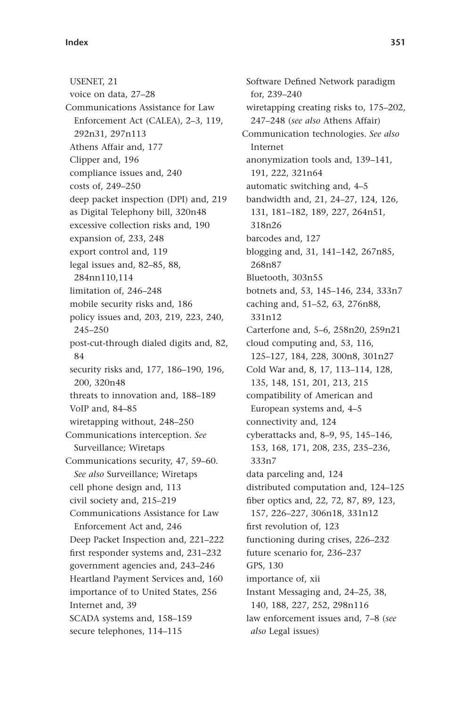USENET, 21 voice on data, 27-28 Communications Assistance for Law Enforcement Act (CALEA), 2-3, 119, 292n31, 297n113 Athens Affair and, 177 Clipper and, 196 compliance issues and, 240 costs of, 249-250 deep packet inspection (DPI) and, 219 as Digital Telephony bill, 320n48 excessive collection risks and, 190 expansion of, 233, 248 export control and, 119 legal issues and, 82-85, 88, 284nn110,114 limitation of, 246-248 mobile security risks and, 186 policy issues and, 203, 219, 223, 240, 245-250 post-cut-through dialed digits and, 82, 84 security risks and, 177, 186-190, 196, 200, 320n48 threats to innovation and, 188-189 VoIP and, 84-85 wiretapping without, 248-250 Communications interception. *See* Surveillance; Wiretaps Communications security, 47, 59-60. *See also* Surveillance; Wiretaps cell phone design and, 113 civil society and, 215-219 Communications Assistance for Law Enforcement Act and, 246 Deep Packet Inspection and, 221-222 first responder systems and, 231-232 government agencies and, 243-246 Heartland Payment Services and, 160 importance of to United States, 256 Internet and, 39 SCADA systems and, 158-159 secure telephones, 114-115

Software Defined Network paradigm for, 239-240 wiretapping creating risks to, 175-202, 247-248 (see also Athens Affair) Communication technologies. *See also* Internet anonymization tools and, 139-141, 191, 222, 321n64 automatic switching and, 4-5 bandwidth and, 21, 24-27, 124, 126, 131, 181-182, 189, 227, 264n51, 318n26 barcodes and, 127 blogging and, 31, 141-142, 267n85, 268n87 Bluetooth, 303n55 botnets and, 53, 145-146, 234, 333n7 caching and, 51-52, 63, 276n88, 331n12 Carterfone and, 5-6, 258n20, 259n21 cloud computing and, 53, 116, 125 – 127, 184, 228, 300n8, 301n27 Cold War and, 8, 17, 113-114, 128, 135, 148, 151, 201, 213, 215 compatibility of American and European systems and, 4-5 connectivity and, 124 cyberattacks and, 8-9, 95, 145-146, 153, 168, 171, 208, 235, 235-236, 333n7 data parceling and, 124 distributed computation and, 124-125 fiber optics and, 22, 72, 87, 89, 123, 157, 226 – 227, 306n18, 331n12 first revolution of, 123 functioning during crises, 226–232 future scenario for, 236-237 GPS, 130 importance of, xii Instant Messaging and, 24-25, 38, 140, 188, 227, 252, 298n116 law enforcement issues and, 7-8 (see *also* Legal issues)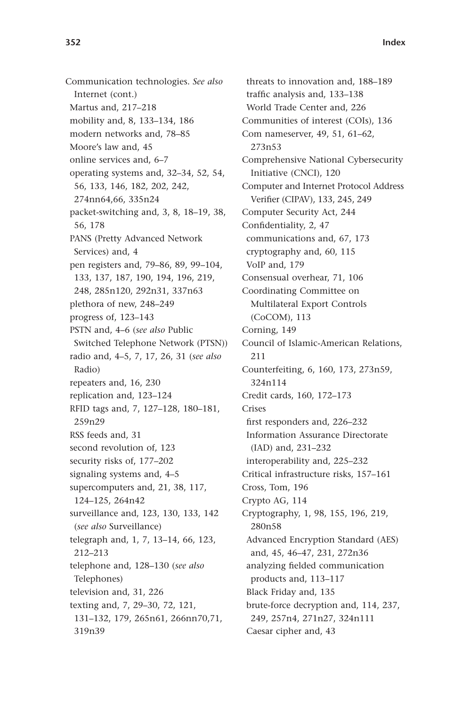Communication technologies. *See also* Internet (cont.) Martus and, 217-218 mobility and, 8, 133-134, 186 modern networks and, 78-85 Moore's law and, 45 online services and, 6-7 operating systems and, 32–34, 52, 54, 56, 133, 146, 182, 202, 242, 274nn64,66, 335n24 packet-switching and, 3, 8, 18-19, 38, 56, 178 PANS (Pretty Advanced Network Services) and, 4 pen registers and, 79-86, 89, 99-104, 133, 137, 187, 190, 194, 196, 219, 248, 285n120, 292n31, 337n63 plethora of new, 248-249 progress of, 123-143 PSTN and, 4-6 (see also Public Switched Telephone Network (PTSN)) radio and, 4-5, 7, 17, 26, 31 (see also Radio) repeaters and, 16, 230 replication and, 123-124 RFID tags and, 7, 127-128, 180-181, 259n29 RSS feeds and, 31 second revolution of, 123 security risks of, 177-202 signaling systems and, 4-5 supercomputers and, 21, 38, 117, 124-125, 264n42 surveillance and, 123, 130, 133, 142 ( *see also* Surveillance) telegraph and, 1, 7, 13-14, 66, 123, 212 – 213 telephone and, 128-130 (see also Telephones) television and, 31, 226 texting and, 7, 29-30, 72, 121, 131-132, 179, 265n61, 266nn70,71, 319n39

threats to innovation and, 188-189 traffic analysis and, 133-138 World Trade Center and, 226 Communities of interest (COIs), 136 Com nameserver, 49, 51, 61-62, 273n53 Comprehensive National Cybersecurity Initiative (CNCI), 120 Computer and Internet Protocol Address Verifier (CIPAV), 133, 245, 249 Computer Security Act, 244 Confidentiality, 2, 47 communications and, 67, 173 cryptography and, 60, 115 VoIP and, 179 Consensual overhear, 71, 106 Coordinating Committee on Multilateral Export Controls (CoCOM), 113 Corning, 149 Council of Islamic-American Relations, 211 Counterfeiting, 6, 160, 173, 273n59, 324n114 Credit cards, 160, 172-173 Crises first responders and, 226-232 Information Assurance Directorate (IAD) and, 231-232 interoperability and, 225-232 Critical infrastructure risks, 157-161 Cross, Tom, 196 Crypto AG, 114 Cryptography, 1, 98, 155, 196, 219, 280n58 Advanced Encryption Standard (AES) and, 45, 46-47, 231, 272n36 analyzing fielded communication products and, 113-117 Black Friday and, 135 brute-force decryption and, 114, 237, 249, 257n4, 271n27, 324n111 Caesar cipher and, 43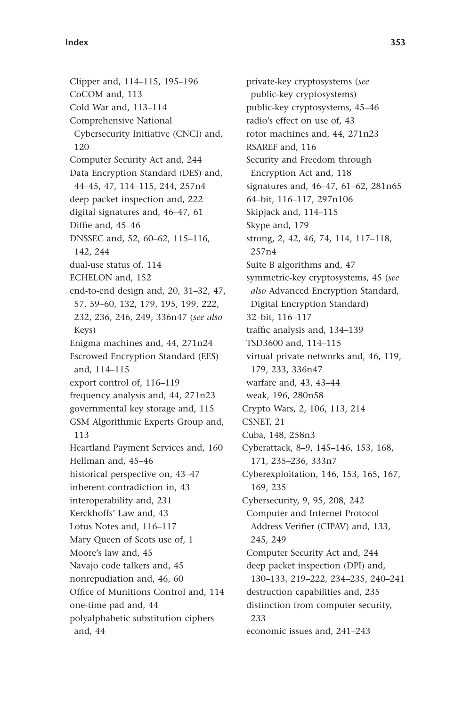Clipper and, 114-115, 195-196 CoCOM and, 113 Cold War and, 113-114 Comprehensive National Cybersecurity Initiative (CNCI) and, 120 Computer Security Act and, 244 Data Encryption Standard (DES) and, 44 – 45, 47, 114 – 115, 244, 257n4 deep packet inspection and, 222 digital signatures and, 46-47, 61 Diffie and, 45-46 DNSSEC and, 52, 60-62, 115-116, 142, 244 dual-use status of, 114 ECHELON and, 152 end-to-end design and, 20, 31-32, 47, 57, 59 – 60, 132, 179, 195, 199, 222, 232, 236, 246, 249, 336n47 ( *see also* Keys) Enigma machines and, 44, 271n24 Escrowed Encryption Standard (EES) and, 114-115 export control of, 116-119 frequency analysis and, 44, 271n23 governmental key storage and, 115 GSM Algorithmic Experts Group and, 113 Heartland Payment Services and, 160 Hellman and, 45-46 historical perspective on, 43-47 inherent contradiction in, 43 interoperability and, 231 Kerckhoffs' Law and, 43 Lotus Notes and, 116-117 Mary Queen of Scots use of, 1 Moore's law and, 45 Navajo code talkers and, 45 nonrepudiation and, 46, 60 Office of Munitions Control and, 114 one-time pad and, 44 polyalphabetic substitution ciphers and, 44

private-key cryptosystems ( *see* public-key cryptosystems) public-key cryptosystems, 45-46 radio's effect on use of, 43 rotor machines and, 44, 271n23 RSAREF and, 116 Security and Freedom through Encryption Act and, 118 signatures and, 46-47, 61-62, 281n65 64-bit, 116-117, 297n106 Skipjack and, 114-115 Skype and, 179 strong, 2, 42, 46, 74, 114, 117-118, 257n4 Suite B algorithms and, 47 symmetric-key cryptosystems, 45 ( *see also* Advanced Encryption Standard, Digital Encryption Standard) 32-bit, 116-117 traffic analysis and, 134-139 TSD3600 and, 114-115 virtual private networks and, 46, 119, 179, 233, 336n47 warfare and, 43, 43-44 weak, 196, 280n58 Crypto Wars, 2, 106, 113, 214 CSNET, 21 Cuba, 148, 258n3 Cyberattack, 8-9, 145-146, 153, 168, 171, 235-236, 333n7 Cyberexploitation, 146, 153, 165, 167, 169, 235 Cybersecurity, 9, 95, 208, 242 Computer and Internet Protocol Address Verifier (CIPAV) and, 133, 245, 249 Computer Security Act and, 244 deep packet inspection (DPI) and, 130-133, 219-222, 234-235, 240-241 destruction capabilities and, 235 distinction from computer security, 233 economic issues and, 241-243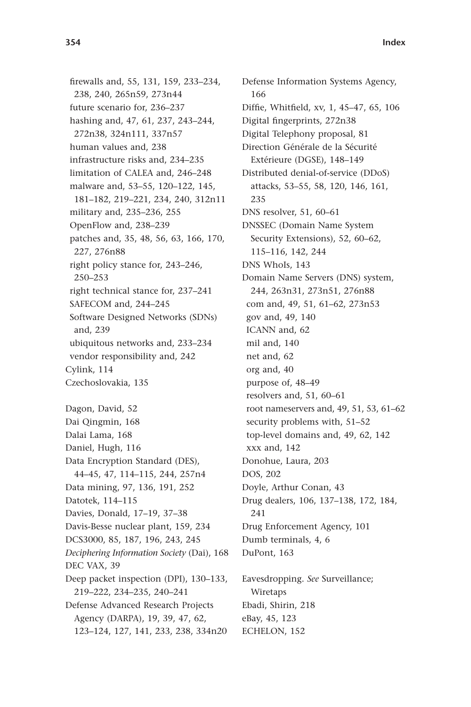firewalls and, 55, 131, 159, 233-234, 238, 240, 265n59, 273n44 future scenario for, 236-237 hashing and, 47, 61, 237, 243-244, 272n38, 324n111, 337n57 human values and, 238 infrastructure risks and, 234-235 limitation of CALEA and, 246-248 malware and, 53-55, 120-122, 145, 181-182, 219-221, 234, 240, 312n11 military and, 235-236, 255 OpenFlow and, 238-239 patches and, 35, 48, 56, 63, 166, 170, 227, 276n88 right policy stance for, 243-246, 250 – 253 right technical stance for, 237-241 SAFECOM and, 244-245 Software Designed Networks (SDNs) and, 239 ubiquitous networks and, 233-234 vendor responsibility and, 242 Cylink, 114 Czechoslovakia, 135 Dagon, David, 52 Dai Qingmin, 168 Dalai Lama, 168 Daniel, Hugh, 116 Data Encryption Standard (DES), 44-45, 47, 114-115, 244, 257n4 Data mining, 97, 136, 191, 252 Datotek, 114-115 Davies, Donald, 17-19, 37-38 Davis-Besse nuclear plant, 159, 234 DCS3000, 85, 187, 196, 243, 245 *Deciphering Information Society* (Dai), 168 DEC VAX, 39 Deep packet inspection (DPI), 130–133, 219 – 222, 234 – 235, 240 – 241

Defense Advanced Research Projects Agency (DARPA), 19, 39, 47, 62, 123 – 124, 127, 141, 233, 238, 334n20 Defense Information Systems Agency, 166 Diffie, Whitfield, xv, 1, 45-47, 65, 106 Digital fingerprints, 272n38 Digital Telephony proposal, 81 Direction Générale de la Sécurité Extérieure (DGSE), 148-149 Distributed denial-of-service (DDoS) attacks, 53-55, 58, 120, 146, 161, 235 DNS resolver, 51, 60-61 DNSSEC (Domain Name System Security Extensions), 52, 60-62, 115 – 116, 142, 244 DNS WhoIs, 143 Domain Name Servers (DNS) system, 244, 263n31, 273n51, 276n88 com and, 49, 51, 61-62, 273n53 gov and, 49, 140 ICANN and, 62 mil and, 140 net and, 62 org and, 40 purpose of, 48-49 resolvers and, 51, 60-61 root nameservers and, 49, 51, 53, 61-62 security problems with, 51-52 top-level domains and, 49, 62, 142 xxx and, 142 Donohue, Laura, 203 DOS, 202 Doyle, Arthur Conan, 43 Drug dealers, 106, 137-138, 172, 184, 241 Drug Enforcement Agency, 101 Dumb terminals, 4, 6 DuPont, 163 Eavesdropping. *See* Surveillance; Wiretaps

Ebadi, Shirin, 218 eBay, 45, 123 ECHELON, 152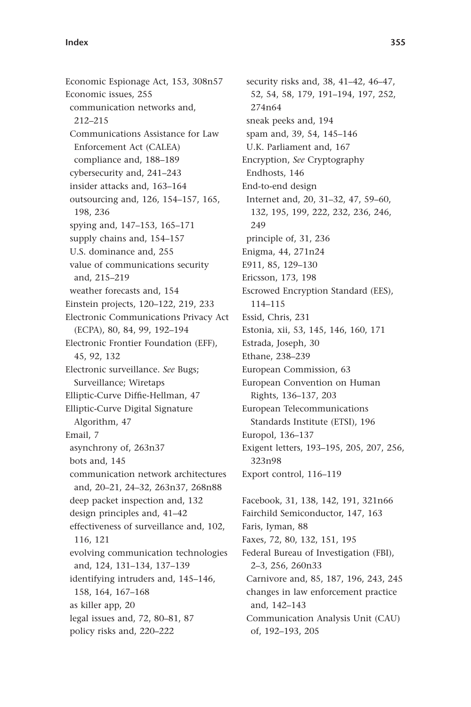Economic Espionage Act, 153, 308n57 Economic issues, 255 communication networks and, 212 – 215 Communications Assistance for Law Enforcement Act (CALEA) compliance and, 188-189 cybersecurity and, 241-243 insider attacks and, 163-164 outsourcing and, 126, 154-157, 165, 198, 236 spying and, 147-153, 165-171 supply chains and, 154-157 U.S. dominance and, 255 value of communications security and, 215-219 weather forecasts and, 154 Einstein projects, 120–122, 219, 233 Electronic Communications Privacy Act (ECPA), 80, 84, 99, 192-194 Electronic Frontier Foundation (EFF), 45, 92, 132 Electronic surveillance. *See* Bugs; Surveillance; Wiretaps Elliptic-Curve Diffie-Hellman, 47 Elliptic-Curve Digital Signature Algorithm, 47 Email, 7 asynchrony of, 263n37 bots and, 145 communication network architectures and, 20-21, 24-32, 263n37, 268n88 deep packet inspection and, 132 design principles and, 41-42 effectiveness of surveillance and, 102, 116, 121 evolving communication technologies and, 124, 131-134, 137-139 identifying intruders and, 145-146, 158, 164, 167-168 as killer app, 20 legal issues and, 72, 80-81, 87 policy risks and, 220-222

security risks and, 38, 41-42, 46-47, 52, 54, 58, 179, 191-194, 197, 252, 274n64 sneak peeks and, 194 spam and, 39, 54, 145-146 U.K. Parliament and, 167 Encryption, *See* Cryptography Endhosts, 146 End-to-end design Internet and, 20, 31-32, 47, 59-60, 132, 195, 199, 222, 232, 236, 246, 249 principle of, 31, 236 Enigma, 44, 271n24 E911, 85, 129-130 Ericsson, 173, 198 Escrowed Encryption Standard (EES), 114 – 115 Essid, Chris, 231 Estonia, xii, 53, 145, 146, 160, 171 Estrada, Joseph, 30 Ethane, 238-239 European Commission, 63 European Convention on Human Rights, 136-137, 203 European Telecommunications Standards Institute (ETSI), 196 Europol, 136-137 Exigent letters, 193-195, 205, 207, 256, 323n98 Export control, 116-119 Facebook, 31, 138, 142, 191, 321n66 Fairchild Semiconductor, 147, 163 Faris, Iyman, 88 Faxes, 72, 80, 132, 151, 195

Federal Bureau of Investigation (FBI), 2-3, 256, 260n33 Carnivore and, 85, 187, 196, 243, 245 changes in law enforcement practice and, 142-143 Communication Analysis Unit (CAU) of, 192-193, 205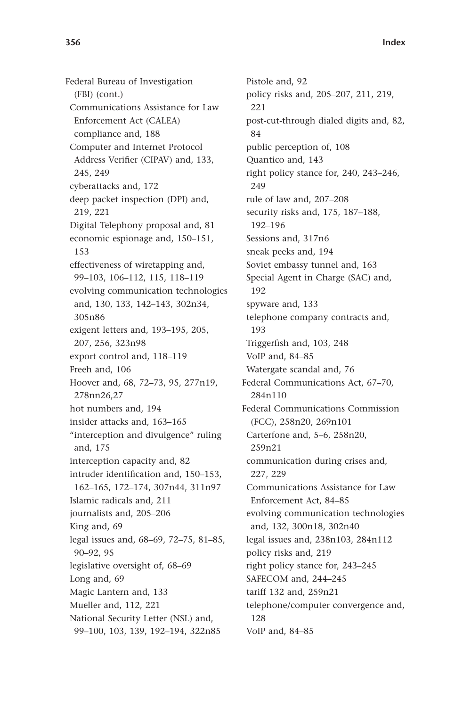Federal Bureau of Investigation (FBI) (cont.) Communications Assistance for Law Enforcement Act (CALEA) compliance and, 188 Computer and Internet Protocol Address Verifier (CIPAV) and, 133, 245, 249 cyberattacks and, 172 deep packet inspection (DPI) and, 219, 221 Digital Telephony proposal and, 81 economic espionage and, 150-151, 153 effectiveness of wiretapping and, 99-103, 106-112, 115, 118-119 evolving communication technologies and, 130, 133, 142-143, 302n34, 305n86 exigent letters and, 193-195, 205, 207, 256, 323n98 export control and, 118-119 Freeh and, 106 Hoover and, 68, 72-73, 95, 277n19, 278nn26,27 hot numbers and, 194 insider attacks and, 163-165 "interception and divulgence" ruling and, 175 interception capacity and, 82 intruder identification and, 150-153, 162 – 165, 172 – 174, 307n44, 311n97 Islamic radicals and, 211 journalists and, 205-206 King and, 69 legal issues and, 68-69, 72-75, 81-85, 90-92, 95 legislative oversight of, 68-69 Long and, 69 Magic Lantern and, 133 Mueller and, 112, 221 National Security Letter (NSL) and, 99-100, 103, 139, 192-194, 322n85

Pistole and, 92 policy risks and, 205-207, 211, 219, 221 post-cut-through dialed digits and, 82, 84 public perception of, 108 Quantico and, 143 right policy stance for, 240, 243-246, 249 rule of law and, 207-208 security risks and, 175, 187-188, 192-196 Sessions and, 317n6 sneak peeks and, 194 Soviet embassy tunnel and, 163 Special Agent in Charge (SAC) and, 192 spyware and, 133 telephone company contracts and, 193 Triggerfish and, 103, 248 VoIP and, 84-85 Watergate scandal and, 76 Federal Communications Act, 67-70, 284n110 Federal Communications Commission (FCC), 258n20, 269n101 Carterfone and, 5-6, 258n20, 259n21 communication during crises and, 227, 229 Communications Assistance for Law Enforcement Act, 84-85 evolving communication technologies and, 132, 300n18, 302n40 legal issues and, 238n103, 284n112 policy risks and, 219 right policy stance for, 243-245 SAFECOM and, 244-245 tariff 132 and, 259n21 telephone/computer convergence and, 128 VoIP and, 84-85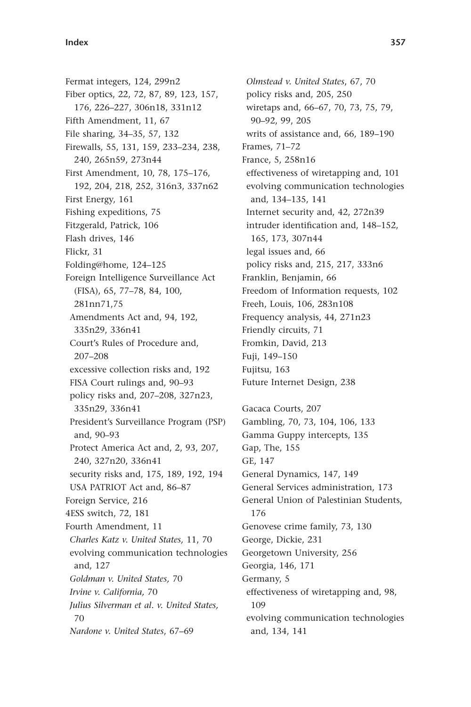Fermat integers, 124, 299n2 Fiber optics, 22, 72, 87, 89, 123, 157, 176, 226-227, 306n18, 331n12 Fifth Amendment, 11, 67 File sharing, 34-35, 57, 132 Firewalls, 55, 131, 159, 233-234, 238, 240, 265n59, 273n44 First Amendment, 10, 78, 175-176, 192, 204, 218, 252, 316n3, 337n62 First Energy, 161 Fishing expeditions, 75 Fitzgerald, Patrick, 106 Flash drives, 146 Flickr, 31 Folding@home, 124-125 Foreign Intelligence Surveillance Act (FISA), 65, 77 – 78, 84, 100, 281nn71,75 Amendments Act and, 94, 192, 335n29, 336n41 Court's Rules of Procedure and, 207 – 208 excessive collection risks and, 192 FISA Court rulings and, 90-93 policy risks and, 207-208, 327n23, 335n29, 336n41 President's Surveillance Program (PSP) and, 90-93 Protect America Act and, 2, 93, 207, 240, 327n20, 336n41 security risks and, 175, 189, 192, 194 USA PATRIOT Act and, 86-87 Foreign Service, 216 4ESS switch, 72, 181 Fourth Amendment, 11 *Charles Katz v. United States,* 11, 70 evolving communication technologies and, 127 *Goldman v. United States,* 70 *Irvine v. California,* 70 *Julius Silverman et al. v. United States,* 70 *Nardone v. United States, 67-69* 

*Olmstead v. United States*, 67, 70 policy risks and, 205, 250 wiretaps and, 66-67, 70, 73, 75, 79, 90 – 92, 99, 205 writs of assistance and, 66, 189-190 Frames, 71-72 France, 5, 258n16 effectiveness of wiretapping and, 101 evolving communication technologies and, 134-135, 141 Internet security and, 42, 272n39 intruder identification and, 148-152, 165, 173, 307n44 legal issues and, 66 policy risks and, 215, 217, 333n6 Franklin, Benjamin, 66 Freedom of Information requests, 102 Freeh, Louis, 106, 283n108 Frequency analysis, 44, 271n23 Friendly circuits, 71 Fromkin, David, 213 Fuji, 149-150 Fujitsu, 163 Future Internet Design, 238 Gacaca Courts, 207 Gambling, 70, 73, 104, 106, 133 Gamma Guppy intercepts, 135

Gap, The, 155 GE, 147 General Dynamics, 147, 149 General Services administration, 173 General Union of Palestinian Students, 176 Genovese crime family, 73, 130 George, Dickie, 231 Georgetown University, 256 Georgia, 146, 171 Germany, 5 effectiveness of wiretapping and, 98, 109 evolving communication technologies

and, 134, 141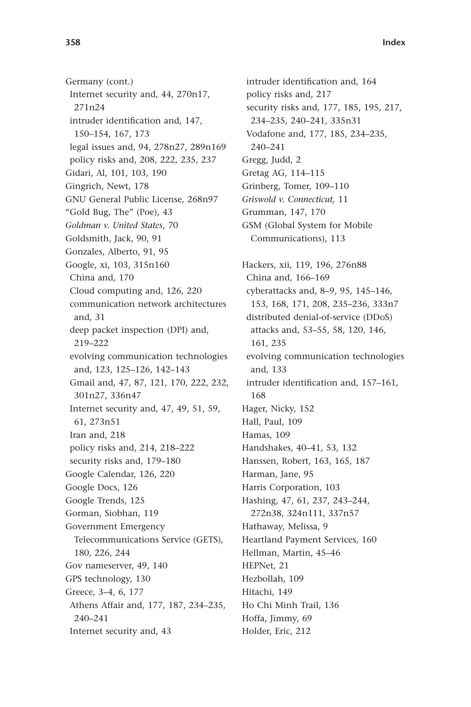Germany (cont.) Internet security and, 44, 270n17, 271n24 intruder identification and, 147, 150 – 154, 167, 173 legal issues and, 94, 278n27, 289n169 policy risks and, 208, 222, 235, 237 Gidari, Al, 101, 103, 190 Gingrich, Newt, 178 GNU General Public License, 268n97 " Gold Bug, The" (Poe), 43 *Goldman v. United States*, 70 Goldsmith, Jack, 90, 91 Gonzales, Alberto, 91, 95 Google, xi, 103, 315n160 China and, 170 Cloud computing and, 126, 220 communication network architectures and, 31 deep packet inspection (DPI) and, 219 – 222 evolving communication technologies and, 123, 125-126, 142-143 Gmail and, 47, 87, 121, 170, 222, 232, 301n27, 336n47 Internet security and, 47, 49, 51, 59, 61, 273n51 Iran and, 218 policy risks and, 214, 218-222 security risks and, 179-180 Google Calendar, 126, 220 Google Docs, 126 Google Trends, 125 Gorman, Siobhan, 119 Government Emergency Telecommunications Service (GETS), 180, 226, 244 Gov nameserver, 49, 140 GPS technology, 130 Greece, 3-4, 6, 177 Athens Affair and, 177, 187, 234-235, 240 – 241 Internet security and, 43

intruder identification and, 164 policy risks and, 217 security risks and, 177, 185, 195, 217, 234-235, 240-241, 335n31 Vodafone and, 177, 185, 234-235, 240 – 241 Gregg, Judd, 2 Gretag AG, 114-115 Grinberg, Tomer, 109-110 *Griswold v. Connecticut,* 11 Grumman, 147, 170 GSM (Global System for Mobile Communications), 113 Hackers, xii, 119, 196, 276n88 China and, 166-169 cyberattacks and, 8-9, 95, 145-146, 153, 168, 171, 208, 235-236, 333n7 distributed denial-of-service (DDoS) attacks and, 53-55, 58, 120, 146, 161, 235 evolving communication technologies and, 133 intruder identification and, 157-161, 168 Hager, Nicky, 152 Hall, Paul, 109 Hamas, 109 Handshakes, 40-41, 53, 132 Hanssen, Robert, 163, 165, 187 Harman, Jane, 95 Harris Corporation, 103 Hashing, 47, 61, 237, 243-244, 272n38, 324n111, 337n57 Hathaway, Melissa, 9 Heartland Payment Services, 160 Hellman, Martin, 45-46 HEPNet, 21 Hezbollah, 109 Hitachi, 149 Ho Chi Minh Trail, 136 Hoffa, Jimmy, 69 Holder, Eric, 212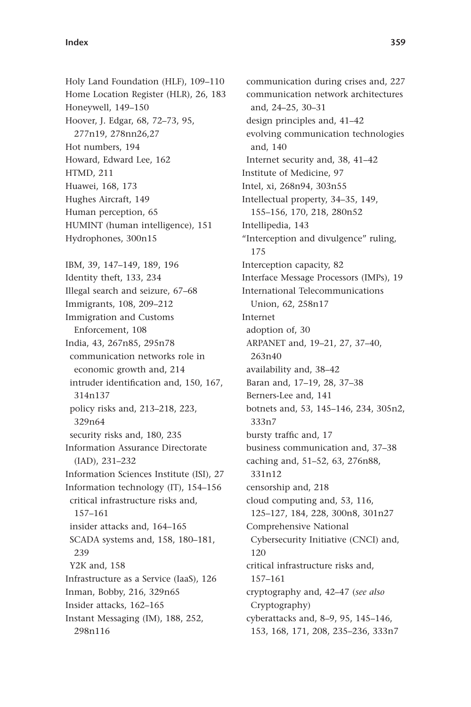## **Index 359**

Holy Land Foundation (HLF), 109-110 Home Location Register (HLR), 26, 183 Honeywell, 149-150 Hoover, J. Edgar, 68, 72-73, 95, 277n19, 278nn26,27 Hot numbers, 194 Howard, Edward Lee, 162 HTMD, 211 Huawei, 168, 173 Hughes Aircraft, 149 Human perception, 65 HUMINT (human intelligence), 151 Hydrophones, 300n15 IBM, 39, 147-149, 189, 196 Identity theft, 133, 234 Illegal search and seizure, 67-68 Immigrants, 108, 209-212 Immigration and Customs Enforcement, 108 India, 43, 267n85, 295n78 communication networks role in economic growth and, 214 intruder identification and, 150, 167, 314n137 policy risks and, 213-218, 223, 329n64 security risks and, 180, 235 Information Assurance Directorate  $(IAD)$ ,  $231-232$ Information Sciences Institute (ISI), 27 Information technology (IT), 154-156 critical infrastructure risks and, 157 – 161 insider attacks and, 164-165 SCADA systems and, 158, 180-181, 239 Y2K and, 158 Infrastructure as a Service (IaaS), 126 Inman, Bobby, 216, 329n65 Insider attacks, 162-165 Instant Messaging (IM), 188, 252, 298n116

communication during crises and, 227 communication network architectures and, 24-25, 30-31 design principles and, 41-42 evolving communication technologies and, 140 Internet security and, 38, 41-42 Institute of Medicine, 97 Intel, xi, 268n94, 303n55 Intellectual property, 34-35, 149, 155 – 156, 170, 218, 280n52 Intellipedia, 143 "Interception and divulgence" ruling, 175 Interception capacity, 82 Interface Message Processors (IMPs), 19 International Telecommunications Union, 62, 258n17 Internet adoption of, 30 ARPANET and, 19-21, 27, 37-40, 263n40 availability and, 38-42 Baran and, 17-19, 28, 37-38 Berners-Lee and, 141 botnets and, 53, 145-146, 234, 305n2, 333n7 bursty traffic and, 17 business communication and, 37-38 caching and, 51-52, 63, 276n88, 331n12 censorship and, 218 cloud computing and, 53, 116, 125 – 127, 184, 228, 300n8, 301n27 Comprehensive National Cybersecurity Initiative (CNCI) and, 120 critical infrastructure risks and, 157 – 161 cryptography and, 42-47 (see also Cryptography) cyberattacks and, 8-9, 95, 145-146, 153, 168, 171, 208, 235-236, 333n7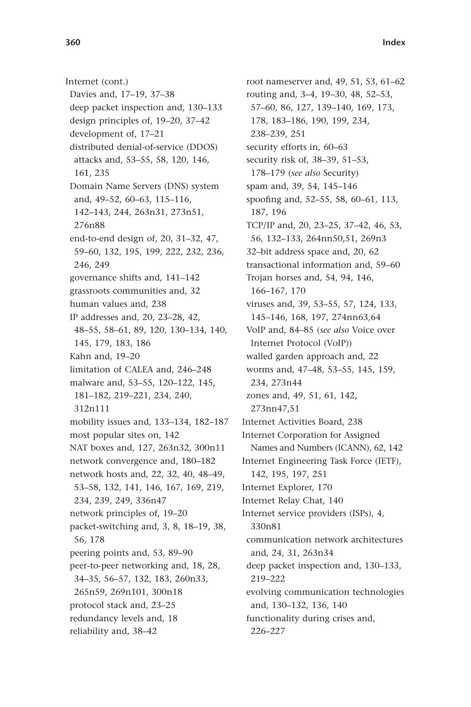Internet (cont.) Davies and, 17-19, 37-38 deep packet inspection and, 130-133 design principles of, 19-20, 37-42 development of, 17-21 distributed denial-of-service (DDOS) attacks and, 53-55, 58, 120, 146, 161, 235 Domain Name Servers (DNS) system and, 49-52, 60-63, 115-116, 142 – 143, 244, 263n31, 273n51, 276n88 end-to-end design of, 20, 31-32, 47, 59 – 60, 132, 195, 199, 222, 232, 236, 246, 249 governance shifts and, 141-142 grassroots communities and, 32 human values and, 238 IP addresses and, 20, 23-28, 42, 48 – 55, 58 – 61, 89, 120, 130 – 134, 140, 145, 179, 183, 186 Kahn and, 19-20 limitation of CALEA and, 246-248 malware and, 53-55, 120-122, 145, 181-182, 219-221, 234, 240, 312n111 mobility issues and, 133-134, 182-187 most popular sites on, 142 NAT boxes and, 127, 263n32, 300n11 network convergence and, 180-182 network hosts and, 22, 32, 40, 48-49, 53 – 58, 132, 141, 146, 167, 169, 219, 234, 239, 249, 336n47 network principles of, 19-20 packet-switching and, 3, 8, 18-19, 38, 56, 178 peering points and, 53, 89-90 peer-to-peer networking and, 18, 28, 34-35, 56-57, 132, 183, 260n33, 265n59, 269n101, 300n18 protocol stack and, 23-25 redundancy levels and, 18 reliability and, 38-42

root nameserver and, 49, 51, 53, 61-62 routing and, 3-4, 19-30, 48, 52-53, 57-60, 86, 127, 139-140, 169, 173, 178, 183-186, 190, 199, 234, 238 – 239, 251 security efforts in, 60-63 security risk of, 38-39, 51-53, 178 – 179 ( *see also* Security) spam and, 39, 54, 145-146 spoofing and, 52-55, 58, 60-61, 113, 187, 196 TCP/IP and, 20, 23-25, 37-42, 46, 53, 56, 132-133, 264nn50,51, 269n3 32-bit address space and, 20, 62 transactional information and, 59-60 Trojan horses and, 54, 94, 146, 166-167, 170 viruses and, 39, 53-55, 57, 124, 133, 145-146, 168, 197, 274nn63,64 VoIP and, 84-85 (see also Voice over Internet Protocol (VoIP)) walled garden approach and, 22 worms and, 47-48, 53-55, 145, 159, 234, 273n44 zones and, 49, 51, 61, 142, 273nn47,51 Internet Activities Board, 238 Internet Corporation for Assigned Names and Numbers (ICANN), 62, 142 Internet Engineering Task Force (IETF), 142, 195, 197, 251 Internet Explorer, 170 Internet Relay Chat, 140 Internet service providers (ISPs), 4, 330n81 communication network architectures and, 24, 31, 263n34 deep packet inspection and, 130-133, 219 – 222 evolving communication technologies and, 130-132, 136, 140 functionality during crises and, 226 – 227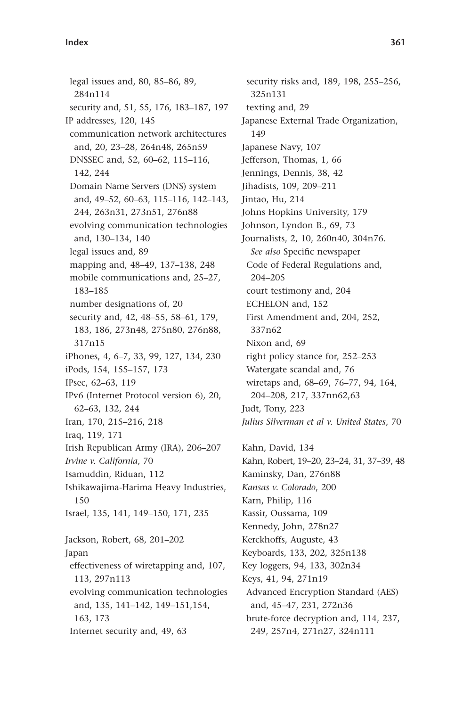legal issues and, 80, 85-86, 89, 284n114 security and, 51, 55, 176, 183-187, 197 IP addresses, 120, 145 communication network architectures and, 20, 23-28, 264n48, 265n59 DNSSEC and, 52, 60-62, 115-116, 142, 244 Domain Name Servers (DNS) system and, 49-52, 60-63, 115-116, 142-143, 244, 263n31, 273n51, 276n88 evolving communication technologies and, 130-134, 140 legal issues and, 89 mapping and, 48-49, 137-138, 248 mobile communications and, 25-27, 183-185 number designations of, 20 security and, 42, 48-55, 58-61, 179, 183, 186, 273n48, 275n80, 276n88, 317n15 iPhones, 4, 6-7, 33, 99, 127, 134, 230 iPods, 154, 155-157, 173 IPsec, 62-63, 119 IPv6 (Internet Protocol version 6), 20, 62-63, 132, 244 Iran, 170, 215-216, 218 Iraq, 119, 171 Irish Republican Army (IRA), 206-207 *Irvine v. California*, 70 Isamuddin, Riduan, 112 Ishikawajima-Harima Heavy Industries, 150 Israel, 135, 141, 149-150, 171, 235 Jackson, Robert, 68, 201-202 Japan effectiveness of wiretapping and, 107, 113, 297n113 evolving communication technologies and, 135, 141-142, 149-151, 154, 163, 173 Internet security and, 49, 63

security risks and, 189, 198, 255-256, 325n131 texting and, 29 Japanese External Trade Organization, 149 Japanese Navy, 107 Jefferson, Thomas, 1, 66 Jennings, Dennis, 38, 42 Jihadists, 109, 209-211 Jintao, Hu, 214 Johns Hopkins University, 179 Johnson, Lyndon B., 69, 73 Journalists, 2, 10, 260n40, 304n76. *See also* Specific newspaper Code of Federal Regulations and, 204-205 court testimony and, 204 ECHELON and, 152 First Amendment and, 204, 252, 337n62 Nixon and, 69 right policy stance for, 252-253 Watergate scandal and, 76 wiretaps and, 68-69, 76-77, 94, 164, 204-208, 217, 337nn62,63 Judt, Tony, 223 *Julius Silverman et al v. United States*, 70 Kahn, David, 134 Kahn, Robert, 19-20, 23-24, 31, 37-39, 48 Kaminsky, Dan, 276n88 *Kansas v. Colorado*, 200 Karn, Philip, 116 Kassir, Oussama, 109 Kennedy, John, 278n27 Kerckhoffs, Auguste, 43 Keyboards, 133, 202, 325n138 Key loggers, 94, 133, 302n34 Keys, 41, 94, 271n19 Advanced Encryption Standard (AES) and, 45-47, 231, 272n36 brute-force decryption and, 114, 237, 249, 257n4, 271n27, 324n111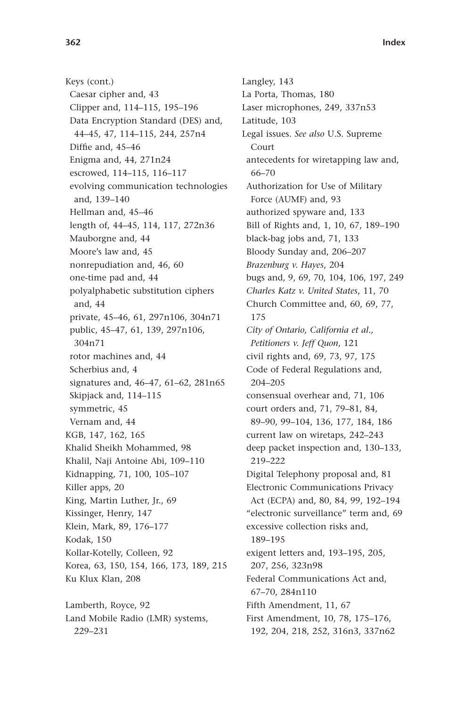Keys (cont.) Caesar cipher and, 43 Clipper and, 114-115, 195-196 Data Encryption Standard (DES) and, 44-45, 47, 114-115, 244, 257n4 Diffie and, 45-46 Enigma and, 44, 271n24 escrowed, 114-115, 116-117 evolving communication technologies and, 139-140 Hellman and, 45-46 length of, 44-45, 114, 117, 272n36 Mauborgne and, 44 Moore's law and, 45 nonrepudiation and, 46, 60 one-time pad and, 44 polyalphabetic substitution ciphers and, 44 private, 45-46, 61, 297n106, 304n71 public, 45-47, 61, 139, 297n106, 304n71 rotor machines and, 44 Scherbius and, 4 signatures and, 46-47, 61-62, 281n65 Skipjack and, 114-115 symmetric, 45 Vernam and, 44 KGB, 147, 162, 165 Khalid Sheikh Mohammed, 98 Khalil, Naji Antoine Abi, 109-110 Kidnapping, 71, 100, 105-107 Killer apps, 20 King, Martin Luther, Jr., 69 Kissinger, Henry, 147 Klein, Mark, 89, 176-177 Kodak, 150 Kollar-Kotelly, Colleen, 92 Korea, 63, 150, 154, 166, 173, 189, 215 Ku Klux Klan, 208 Lamberth, Royce, 92 Land Mobile Radio (LMR) systems, 229 – 231

Langley, 143 La Porta, Thomas, 180 Laser microphones, 249, 337n53 Latitude, 103 Legal issues. *See also* U.S. Supreme Court antecedents for wiretapping law and, 66-70 Authorization for Use of Military Force (AUMF) and, 93 authorized spyware and, 133 Bill of Rights and, 1, 10, 67, 189-190 black-bag jobs and, 71, 133 Bloody Sunday and, 206-207 *Brazenburg v. Hayes*, 204 bugs and, 9, 69, 70, 104, 106, 197, 249 *Charles Katz v. United States*, 11, 70 Church Committee and, 60, 69, 77, 175 *City of Ontario, California et al., Petitioners v. Jeff Quon*, 121 civil rights and, 69, 73, 97, 175 Code of Federal Regulations and, 204-205 consensual overhear and, 71, 106 court orders and, 71, 79-81, 84, 89 – 90, 99 – 104, 136, 177, 184, 186 current law on wiretaps, 242-243 deep packet inspection and, 130-133, 219 – 222 Digital Telephony proposal and, 81 Electronic Communications Privacy Act (ECPA) and, 80, 84, 99, 192-194 " electronic surveillance" term and, 69 excessive collection risks and, 189 – 195 exigent letters and, 193-195, 205, 207, 256, 323n98 Federal Communications Act and, 67-70, 284n110 Fifth Amendment, 11, 67 First Amendment, 10, 78, 175-176, 192, 204, 218, 252, 316n3, 337n62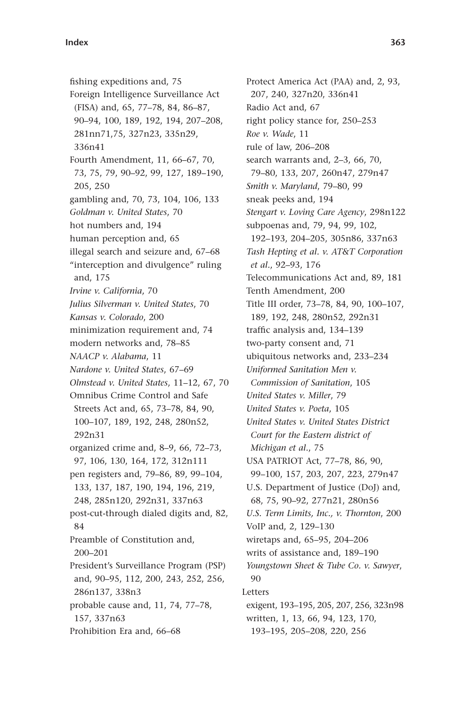fishing expeditions and, 75 Foreign Intelligence Surveillance Act (FISA) and, 65, 77-78, 84, 86-87, 90 - 94, 100, 189, 192, 194, 207 - 208, 281nn71,75, 327n23, 335n29, 336n41 Fourth Amendment, 11, 66-67, 70, 73, 75, 79, 90-92, 99, 127, 189-190, 205, 250 gambling and, 70, 73, 104, 106, 133 *Goldman v. United States*, 70 hot numbers and, 194 human perception and, 65 illegal search and seizure and, 67-68 "interception and divulgence" ruling and, 175 *Irvine v. California*, 70 *Julius Silverman v. United States*, 70 *Kansas v. Colorado*, 200 minimization requirement and, 74 modern networks and, 78-85 *NAACP v. Alabama*, 11 *Nardone v. United States, 67-69 Olmstead v. United States, 11-12, 67, 70* Omnibus Crime Control and Safe Streets Act and, 65, 73-78, 84, 90, 100-107, 189, 192, 248, 280n52, 292n31 organized crime and, 8-9, 66, 72-73, 97, 106, 130, 164, 172, 312n111 pen registers and, 79-86, 89, 99-104, 133, 137, 187, 190, 194, 196, 219, 248, 285n120, 292n31, 337n63 post-cut-through dialed digits and, 82, 84 Preamble of Constitution and,  $200 - 201$ President's Surveillance Program (PSP) and, 90-95, 112, 200, 243, 252, 256, 286n137, 338n3 probable cause and, 11, 74, 77-78, 157, 337n63 Prohibition Era and, 66-68

Protect America Act (PAA) and, 2, 93, 207, 240, 327n20, 336n41 Radio Act and, 67 right policy stance for, 250-253 *Roe v. Wade*, 11 rule of law, 206-208 search warrants and, 2-3, 66, 70, 79 – 80, 133, 207, 260n47, 279n47 *Smith v. Maryland, 79-80, 99* sneak peeks and, 194 *Stengart v. Loving Care Agency*, 298n122 subpoenas and, 79, 94, 99, 102, 192-193, 204-205, 305n86, 337n63 *Tash Hepting et al. v. AT&T Corporation et al.*, 92-93, 176 Telecommunications Act and, 89, 181 Tenth Amendment, 200 Title III order, 73-78, 84, 90, 100-107, 189, 192, 248, 280n52, 292n31 traffic analysis and, 134-139 two-party consent and, 71 ubiquitous networks and, 233-234 *Uniformed Sanitation Men v. Commission of Sanitation*, 105 *United States v. Miller*, 79 *United States v. Poeta*, 105 *United States v. United States District Court for the Eastern district of Michigan et al.*, 75 USA PATRIOT Act, 77-78, 86, 90, 99-100, 157, 203, 207, 223, 279n47 U.S. Department of Justice (DoJ) and, 68, 75, 90-92, 277n21, 280n56 *U.S. Term Limits, Inc., v. Thornton*, 200 VoIP and, 2, 129-130 wiretaps and, 65-95, 204-206 writs of assistance and, 189-190 *Youngstown Sheet &Tube Co. v. Sawyer*, 90 Letters exigent, 193-195, 205, 207, 256, 323n98 written, 1, 13, 66, 94, 123, 170, 193-195, 205-208, 220, 256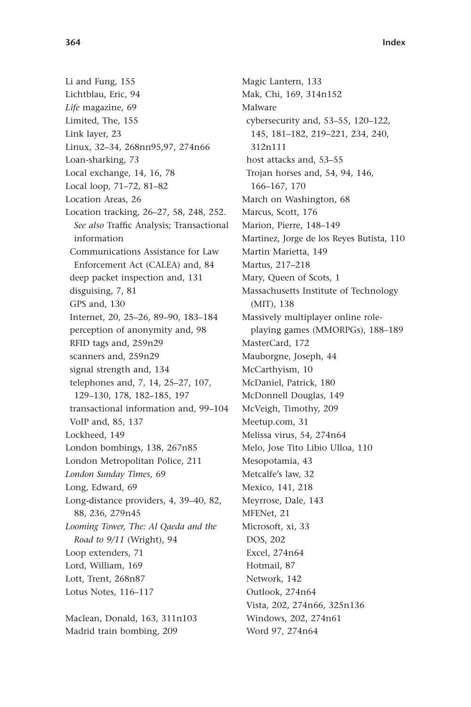Li and Fung, 155 Lichtblau, Eric, 94 *Life* magazine, 69 Limited, The, 155 Link layer, 23 Linux, 32-34, 268nn95,97, 274n66 Loan-sharking, 73 Local exchange, 14, 16, 78 Local loop, 71-72, 81-82 Location Areas, 26 Location tracking, 26-27, 58, 248, 252. See also Traffic Analysis; Transactional information Communications Assistance for Law Enforcement Act (CALEA) and, 84 deep packet inspection and, 131 disguising, 7, 81 GPS and, 130 Internet, 20, 25-26, 89-90, 183-184 perception of anonymity and, 98 RFID tags and, 259n29 scanners and, 259n29 signal strength and, 134 telephones and, 7, 14, 25-27, 107, 129 – 130, 178, 182 – 185, 197 transactional information and, 99-104 VoIP and, 85, 137 Lockheed, 149 London bombings, 138, 267n85 London Metropolitan Police, 211 *London Sunday Times*, 69 Long, Edward, 69 Long-distance providers, 4, 39-40, 82, 88, 236, 279n45 *Looming Tower, The: Al Qaeda and the Road to 9/11* (Wright), 94 Loop extenders, 71 Lord, William, 169 Lott, Trent, 268n87 Lotus Notes, 116-117 Maclean, Donald, 163, 311n103

Madrid train bombing, 209

312n111 host attacks and, 53-55 Trojan horses and, 54, 94, 146, 166-167, 170 March on Washington, 68 Marcus, Scott, 176 Marion, Pierre, 148-149 Martinez, Jorge de los Reyes Butista, 110 Martin Marietta, 149 Martus, 217-218 Mary, Queen of Scots, 1 Massachusetts Institute of Technology (MIT), 138 Massively multiplayer online roleplaying games (MMORPGs), 188-189 MasterCard, 172 Mauborgne, Joseph, 44 McCarthyism, 10 McDaniel, Patrick, 180 McDonnell Douglas, 149 McVeigh, Timothy, 209 Meetup.com, 31 Melissa virus, 54, 274n64 Melo, Jose Tito Libio Ulloa, 110 Mesopotamia, 43 Metcalfe's law, 32 Mexico, 141, 218 Meyrrose, Dale, 143 MFENet, 21 Microsoft, xi, 33 DOS, 202 Excel, 274n64 Hotmail, 87 Network, 142 Outlook, 274n64 Vista, 202, 274n66, 325n136 Windows, 202, 274n61 Word 97, 274n64

Magic Lantern, 133 Mak, Chi, 169, 314n152

cybersecurity and, 53-55, 120-122, 145, 181-182, 219-221, 234, 240,

Malware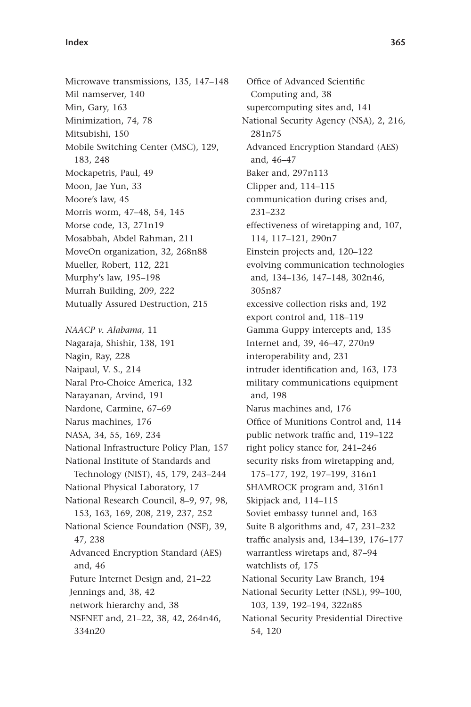Microwave transmissions, 135, 147-148 Mil namserver, 140 Min, Gary, 163 Minimization, 74, 78 Mitsubishi, 150 Mobile Switching Center (MSC), 129, 183, 248 Mockapetris, Paul, 49 Moon, Jae Yun, 33 Moore's law, 45 Morris worm, 47-48, 54, 145 Morse code, 13, 271n19 Mosabbah, Abdel Rahman, 211 MoveOn organization, 32, 268n88 Mueller, Robert, 112, 221 Murphy's law, 195-198 Murrah Building, 209, 222 Mutually Assured Destruction, 215 *NAACP v. Alabama*, 11 Nagaraja, Shishir, 138, 191 Nagin, Ray, 228 Naipaul, V. S., 214 Naral Pro-Choice America, 132 Narayanan, Arvind, 191 Nardone, Carmine, 67-69 Narus machines, 176 NASA, 34, 55, 169, 234 National Infrastructure Policy Plan, 157 National Institute of Standards and Technology (NIST), 45, 179, 243-244 National Physical Laboratory, 17 National Research Council, 8-9, 97, 98, 153, 163, 169, 208, 219, 237, 252 National Science Foundation (NSF), 39, 47, 238 Advanced Encryption Standard (AES) and, 46 Future Internet Design and, 21-22 Jennings and, 38, 42 network hierarchy and, 38 NSFNET and, 21-22, 38, 42, 264n46, 334n20

Office of Advanced Scientific Computing and, 38 supercomputing sites and, 141 National Security Agency (NSA), 2, 216, 281n75 Advanced Encryption Standard (AES) and, 46-47 Baker and, 297n113 Clipper and,  $114 - 115$ communication during crises and, 231 – 232 effectiveness of wiretapping and, 107, 114, 117-121, 290n7 Einstein projects and, 120–122 evolving communication technologies and, 134-136, 147-148, 302n46, 305n87 excessive collection risks and, 192 export control and, 118-119 Gamma Guppy intercepts and, 135 Internet and, 39, 46-47, 270n9 interoperability and, 231 intruder identification and, 163, 173 military communications equipment and, 198 Narus machines and, 176 Office of Munitions Control and, 114 public network traffic and, 119-122 right policy stance for, 241-246 security risks from wiretapping and, 175-177, 192, 197-199, 316n1 SHAMROCK program and, 316n1 Skipjack and, 114-115 Soviet embassy tunnel and, 163 Suite B algorithms and, 47, 231-232 traffic analysis and, 134-139, 176-177 warrantless wiretaps and, 87-94 watchlists of, 175 National Security Law Branch, 194 National Security Letter (NSL), 99-100, 103, 139, 192-194, 322n85 National Security Presidential Directive 54, 120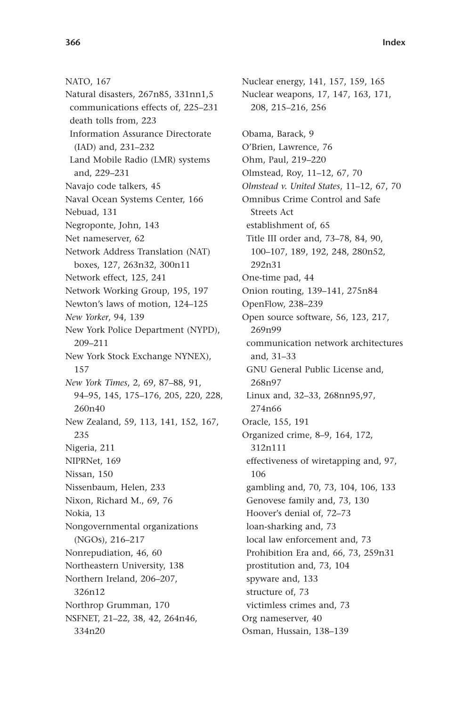NATO, 167 Natural disasters, 267n85, 331nn1,5 communications effects of, 225-231 death tolls from, 223 Information Assurance Directorate (IAD) and, 231-232 Land Mobile Radio (LMR) systems and, 229-231 Navajo code talkers, 45 Naval Ocean Systems Center, 166 Nebuad, 131 Negroponte, John, 143 Net nameserver, 62 Network Address Translation (NAT) boxes, 127, 263n32, 300n11 Network effect, 125, 241 Network Working Group, 195, 197 Newton's laws of motion, 124-125 *New Yorker*, 94, 139 New York Police Department (NYPD), 209 – 211 New York Stock Exchange NYNEX), 157 *New York Times*, 2, 69, 87-88, 91, 94 – 95, 145, 175 – 176, 205, 220, 228, 260n40 New Zealand, 59, 113, 141, 152, 167, 235 Nigeria, 211 NIPRNet, 169 Nissan, 150 Nissenbaum, Helen, 233 Nixon, Richard M., 69, 76 Nokia, 13 Nongovernmental organizations (NGOs), 216-217 Nonrepudiation, 46, 60 Northeastern University, 138 Northern Ireland, 206-207, 326n12 Northrop Grumman, 170 NSFNET, 21-22, 38, 42, 264n46, 334n20

Nuclear energy, 141, 157, 159, 165 Nuclear weapons, 17, 147, 163, 171, 208, 215 – 216, 256 Obama, Barack, 9 O'Brien, Lawrence, 76 Ohm, Paul, 219-220 Olmstead, Roy, 11-12, 67, 70 *Olmstead v. United States*, 11-12, 67, 70 Omnibus Crime Control and Safe Streets Act establishment of, 65 Title III order and, 73-78, 84, 90, 100 – 107, 189, 192, 248, 280n52, 292n31 One-time pad, 44 Onion routing, 139-141, 275n84 OpenFlow, 238-239 Open source software, 56, 123, 217, 269n99 communication network architectures and, 31-33 GNU General Public License and, 268n97 Linux and, 32-33, 268nn95,97, 274n66 Oracle, 155, 191 Organized crime, 8-9, 164, 172, 312n111 effectiveness of wiretapping and, 97, 106 gambling and, 70, 73, 104, 106, 133 Genovese family and, 73, 130 Hoover's denial of, 72-73 loan-sharking and, 73 local law enforcement and, 73 Prohibition Era and, 66, 73, 259n31 prostitution and, 73, 104 spyware and, 133 structure of, 73 victimless crimes and, 73 Org nameserver, 40 Osman, Hussain, 138-139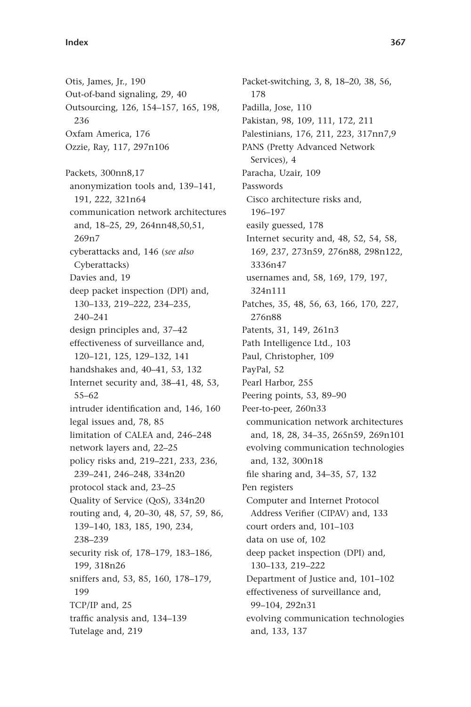Otis, James, Jr., 190 Out-of-band signaling, 29, 40 Outsourcing, 126, 154-157, 165, 198, 236 Oxfam America, 176 Ozzie, Ray, 117, 297n106 Packets, 300nn8,17 anonymization tools and, 139-141, 191, 222, 321n64 communication network architectures and, 18-25, 29, 264nn48,50,51, 269n7 cyberattacks and, 146 ( *see also* Cyberattacks) Davies and, 19 deep packet inspection (DPI) and, 130 – 133, 219 – 222, 234 – 235, 240 – 241 design principles and, 37-42 effectiveness of surveillance and, 120 – 121, 125, 129 – 132, 141 handshakes and, 40-41, 53, 132 Internet security and, 38-41, 48, 53, 55 – 62 intruder identification and, 146, 160 legal issues and, 78, 85 limitation of CALEA and, 246-248 network layers and, 22-25 policy risks and, 219-221, 233, 236, 239-241, 246-248, 334n20 protocol stack and, 23-25 Quality of Service (QoS), 334n20 routing and, 4, 20-30, 48, 57, 59, 86, 139 – 140, 183, 185, 190, 234, 238 – 239 security risk of, 178-179, 183-186, 199, 318n26 sniffers and, 53, 85, 160, 178-179, 199 TCP/IP and, 25 traffic analysis and, 134-139 Tutelage and, 219

Packet-switching, 3, 8, 18-20, 38, 56, 178 Padilla, Jose, 110 Pakistan, 98, 109, 111, 172, 211 Palestinians, 176, 211, 223, 317nn7,9 PANS (Pretty Advanced Network Services), 4 Paracha, Uzair, 109 Passwords Cisco architecture risks and, 196 – 197 easily guessed, 178 Internet security and, 48, 52, 54, 58, 169, 237, 273n59, 276n88, 298n122, 3336n47 usernames and, 58, 169, 179, 197, 324n111 Patches, 35, 48, 56, 63, 166, 170, 227, 276n88 Patents, 31, 149, 261n3 Path Intelligence Ltd., 103 Paul, Christopher, 109 PayPal, 52 Pearl Harbor, 255 Peering points, 53, 89-90 Peer-to-peer, 260n33 communication network architectures and, 18, 28, 34-35, 265n59, 269n101 evolving communication technologies and, 132, 300n18 file sharing and, 34-35, 57, 132 Pen registers Computer and Internet Protocol Address Verifier (CIPAV) and, 133 court orders and, 101-103 data on use of, 102 deep packet inspection (DPI) and, 130 – 133, 219 – 222 Department of Justice and, 101-102 effectiveness of surveillance and, 99-104, 292n31 evolving communication technologies and, 133, 137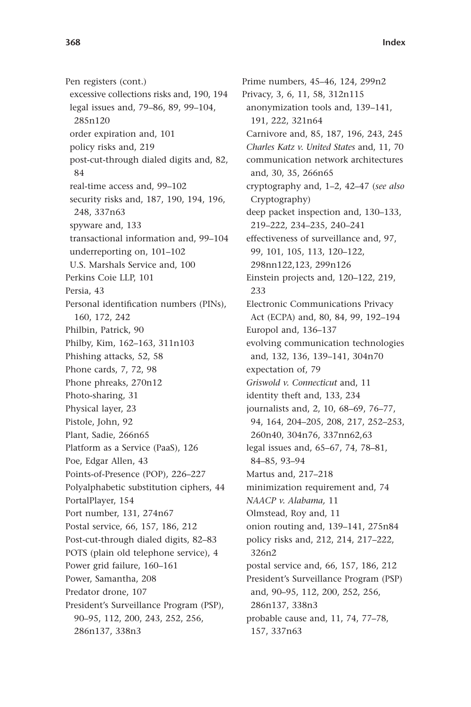Pen registers (cont.) excessive collections risks and, 190, 194 legal issues and, 79-86, 89, 99-104, 285n120 order expiration and, 101 policy risks and, 219 post-cut-through dialed digits and, 82, 84 real-time access and, 99-102 security risks and, 187, 190, 194, 196, 248, 337n63 spyware and, 133 transactional information and, 99-104 underreporting on, 101-102 U.S. Marshals Service and, 100 Perkins Coie LLP, 101 Persia, 43 Personal identification numbers (PINs), 160, 172, 242 Philbin, Patrick, 90 Philby, Kim, 162-163, 311n103 Phishing attacks, 52, 58 Phone cards, 7, 72, 98 Phone phreaks, 270n12 Photo-sharing, 31 Physical layer, 23 Pistole, John, 92 Plant, Sadie, 266n65 Platform as a Service (PaaS), 126 Poe, Edgar Allen, 43 Points-of-Presence (POP), 226-227 Polyalphabetic substitution ciphers, 44 PortalPlayer, 154 Port number, 131, 274n67 Postal service, 66, 157, 186, 212 Post-cut-through dialed digits, 82-83 POTS (plain old telephone service), 4 Power grid failure, 160-161 Power, Samantha, 208 Predator drone, 107 President's Surveillance Program (PSP), 90 – 95, 112, 200, 243, 252, 256, 286n137, 338n3

Prime numbers, 45-46, 124, 299n2 Privacy, 3, 6, 11, 58, 312n115 anonymization tools and, 139-141, 191, 222, 321n64 Carnivore and, 85, 187, 196, 243, 245 *Charles Katz v. United States* and, 11, 70 communication network architectures and, 30, 35, 266n65 cryptography and, 1–2, 42–47 (see also Cryptography) deep packet inspection and, 130-133, 219 – 222, 234 – 235, 240 – 241 effectiveness of surveillance and, 97, 99, 101, 105, 113, 120-122, 298nn122,123, 299n126 Einstein projects and, 120-122, 219, 233 Electronic Communications Privacy Act (ECPA) and, 80, 84, 99, 192-194 Europol and, 136-137 evolving communication technologies and, 132, 136, 139-141, 304n70 expectation of, 79 *Griswold v. Connecticut* and, 11 identity theft and, 133, 234 journalists and, 2, 10, 68-69, 76-77, 94, 164, 204-205, 208, 217, 252-253, 260n40, 304n76, 337nn62,63 legal issues and, 65-67, 74, 78-81, 84-85, 93-94 Martus and, 217-218 minimization requirement and, 74 *NAACP v. Alabama,* 11 Olmstead, Roy and, 11 onion routing and, 139-141, 275n84 policy risks and, 212, 214, 217-222, 326n2 postal service and, 66, 157, 186, 212 President's Surveillance Program (PSP) and, 90-95, 112, 200, 252, 256, 286n137, 338n3 probable cause and, 11, 74, 77-78, 157, 337n63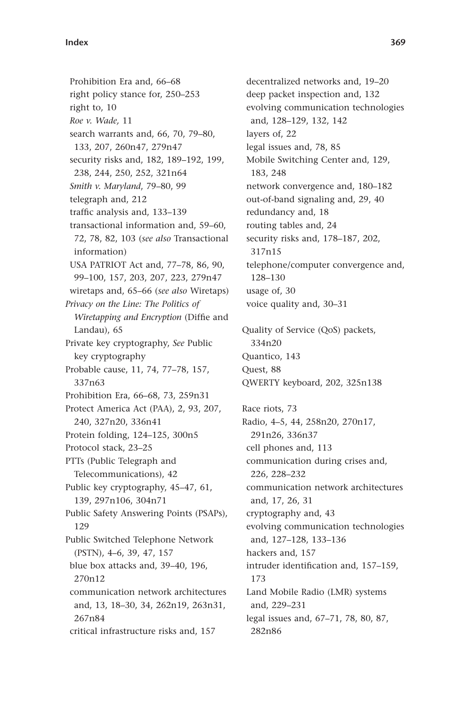Prohibition Era and, 66-68 right policy stance for, 250-253 right to, 10 *Roe v. Wade,* 11 search warrants and, 66, 70, 79-80, 133, 207, 260n47, 279n47 security risks and, 182, 189-192, 199, 238, 244, 250, 252, 321n64 *Smith v. Maryland, 79-80, 99* telegraph and, 212 traffic analysis and, 133-139 transactional information and, 59-60, 72, 78, 82, 103 ( *see also* Transactional information) USA PATRIOT Act and, 77-78, 86, 90, 99-100, 157, 203, 207, 223, 279n47 wiretaps and, 65-66 (see also Wiretaps) *Privacy on the Line: The Politics of Wiretapping and Encryption* (Diffie and Landau), 65 Private key cryptography, *See* Public key cryptography Probable cause, 11, 74, 77-78, 157, 337n63 Prohibition Era, 66-68, 73, 259n31 Protect America Act (PAA), 2, 93, 207, 240, 327n20, 336n41 Protein folding, 124-125, 300n5 Protocol stack, 23-25 PTTs (Public Telegraph and Telecommunications), 42 Public key cryptography, 45-47, 61, 139, 297n106, 304n71 Public Safety Answering Points (PSAPs), 129 Public Switched Telephone Network (PSTN), 4-6, 39, 47, 157 blue box attacks and, 39-40, 196, 270n12 communication network architectures and, 13, 18-30, 34, 262n19, 263n31, 267n84 critical infrastructure risks and, 157

decentralized networks and, 19-20 deep packet inspection and, 132 evolving communication technologies and, 128-129, 132, 142 layers of, 22 legal issues and, 78, 85 Mobile Switching Center and, 129, 183, 248 network convergence and, 180-182 out-of-band signaling and, 29, 40 redundancy and, 18 routing tables and, 24 security risks and, 178-187, 202, 317n15 telephone/computer convergence and, 128-130 usage of, 30 voice quality and, 30-31 Quality of Service (QoS) packets, 334n20 Quantico, 143 Quest, 88 QWERTY keyboard, 202, 325n138 Race riots, 73 Radio, 4-5, 44, 258n20, 270n17, 291n26, 336n37 cell phones and, 113 communication during crises and, 226, 228 – 232 communication network architectures and, 17, 26, 31 cryptography and, 43 evolving communication technologies and, 127-128, 133-136 hackers and, 157 intruder identification and, 157-159, 173 Land Mobile Radio (LMR) systems and, 229-231

legal issues and, 67-71, 78, 80, 87, 282n86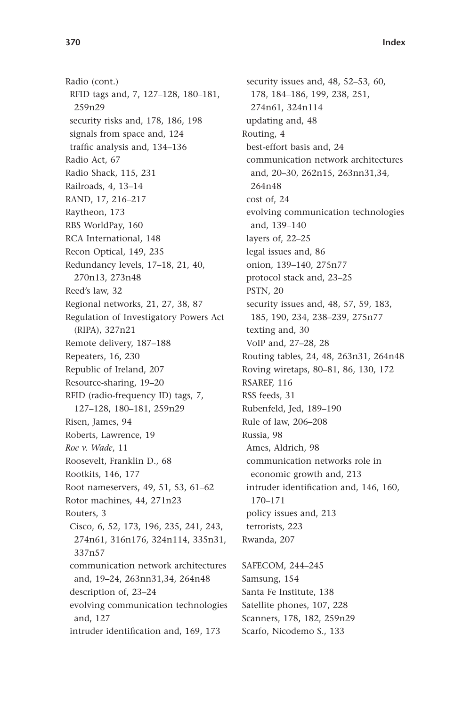Radio (cont.) RFID tags and, 7, 127-128, 180-181, 259n29 security risks and, 178, 186, 198 signals from space and, 124 traffic analysis and, 134-136 Radio Act, 67 Radio Shack, 115, 231 Railroads, 4, 13-14 RAND, 17, 216-217 Raytheon, 173 RBS WorldPay, 160 RCA International, 148 Recon Optical, 149, 235 Redundancy levels, 17-18, 21, 40, 270n13, 273n48 Reed's law, 32 Regional networks, 21, 27, 38, 87 Regulation of Investigatory Powers Act (RIPA), 327n21 Remote delivery, 187-188 Repeaters, 16, 230 Republic of Ireland, 207 Resource-sharing, 19-20 RFID (radio-frequency ID) tags, 7, 127-128, 180-181, 259n29 Risen, James, 94 Roberts, Lawrence, 19 *Roe v. Wade*, 11 Roosevelt, Franklin D., 68 Rootkits, 146, 177 Root nameservers, 49, 51, 53, 61-62 Rotor machines, 44, 271n23 Routers, 3 Cisco, 6, 52, 173, 196, 235, 241, 243, 274n61, 316n176, 324n114, 335n31, 337n57 communication network architectures and, 19-24, 263nn31,34, 264n48 description of, 23-24 evolving communication technologies and, 127 intruder identification and, 169, 173

security issues and, 48, 52-53, 60, 178, 184-186, 199, 238, 251, 274n61, 324n114 updating and, 48 Routing, 4 best-effort basis and, 24 communication network architectures and, 20-30, 262n15, 263nn31,34, 264n48 cost of, 24 evolving communication technologies and, 139-140 layers of, 22-25 legal issues and, 86 onion, 139-140, 275n77 protocol stack and, 23-25 PSTN, 20 security issues and, 48, 57, 59, 183, 185, 190, 234, 238-239, 275n77 texting and, 30 VoIP and, 27-28, 28 Routing tables, 24, 48, 263n31, 264n48 Roving wiretaps, 80-81, 86, 130, 172 RSAREF, 116 RSS feeds, 31 Rubenfeld, Jed, 189-190 Rule of law, 206-208 Russia, 98 Ames, Aldrich, 98 communication networks role in economic growth and, 213 intruder identification and, 146, 160, 170 – 171 policy issues and, 213 terrorists, 223 Rwanda, 207

SAFECOM, 244-245 Samsung, 154 Santa Fe Institute, 138 Satellite phones, 107, 228 Scanners, 178, 182, 259n29 Scarfo, Nicodemo S., 133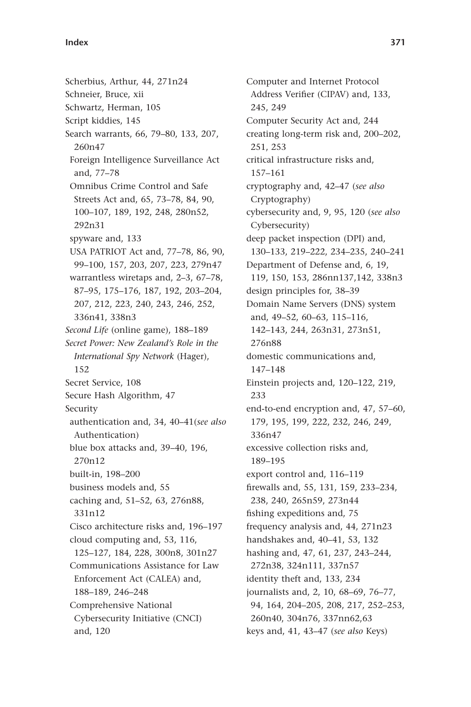## **Index 371**

Scherbius, Arthur, 44, 271n24 Schneier, Bruce, xii Schwartz, Herman, 105 Script kiddies, 145 Search warrants, 66, 79-80, 133, 207, 260n47 Foreign Intelligence Surveillance Act and, 77-78 Omnibus Crime Control and Safe Streets Act and, 65, 73-78, 84, 90, 100-107, 189, 192, 248, 280n52, 292n31 spyware and, 133 USA PATRIOT Act and, 77-78, 86, 90, 99-100, 157, 203, 207, 223, 279n47 warrantless wiretaps and, 2-3, 67-78, 87-95, 175-176, 187, 192, 203-204, 207, 212, 223, 240, 243, 246, 252, 336n41, 338n3 *Second Life* (online game), 188-189 Secret Power: New Zealand's Role in the *International Spy Network* (Hager), 152 Secret Service, 108 Secure Hash Algorithm, 47 Security authentication and, 34, 40-41(see also Authentication) blue box attacks and, 39-40, 196, 270n12 built-in, 198-200 business models and, 55 caching and, 51-52, 63, 276n88, 331n12 Cisco architecture risks and, 196-197 cloud computing and, 53, 116, 125 – 127, 184, 228, 300n8, 301n27 Communications Assistance for Law Enforcement Act (CALEA) and, 188 – 189, 246 – 248 Comprehensive National Cybersecurity Initiative (CNCI) and, 120

Computer and Internet Protocol Address Verifier (CIPAV) and, 133, 245, 249 Computer Security Act and, 244 creating long-term risk and, 200–202, 251, 253 critical infrastructure risks and, 157 – 161 cryptography and, 42-47 (see also Cryptography) cybersecurity and, 9, 95, 120 (see also Cybersecurity) deep packet inspection (DPI) and, 130-133, 219-222, 234-235, 240-241 Department of Defense and, 6, 19, 119, 150, 153, 286nn137,142, 338n3 design principles for, 38-39 Domain Name Servers (DNS) system and, 49-52, 60-63, 115-116, 142 – 143, 244, 263n31, 273n51, 276n88 domestic communications and, 147 – 148 Einstein projects and, 120-122, 219, 233 end-to-end encryption and, 47, 57-60, 179, 195, 199, 222, 232, 246, 249, 336n47 excessive collection risks and, 189 – 195 export control and, 116-119 firewalls and, 55, 131, 159, 233-234, 238, 240, 265n59, 273n44 fishing expeditions and, 75 frequency analysis and, 44, 271n23 handshakes and, 40-41, 53, 132 hashing and, 47, 61, 237, 243-244, 272n38, 324n111, 337n57 identity theft and, 133, 234 journalists and, 2, 10, 68-69, 76-77, 94, 164, 204-205, 208, 217, 252-253, 260n40, 304n76, 337nn62,63 keys and, 41, 43-47 (see also Keys)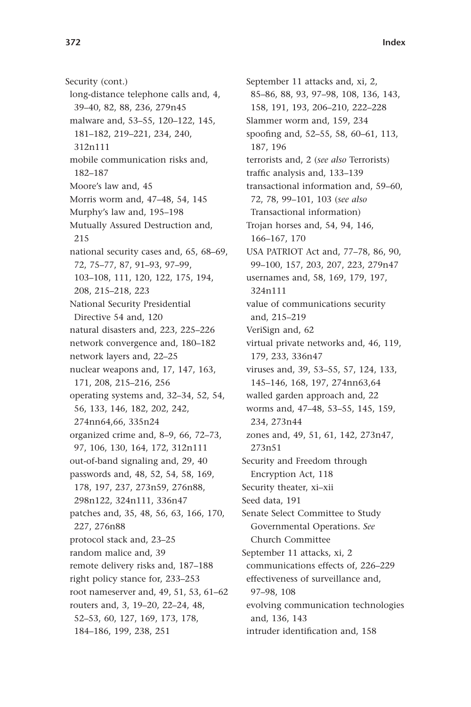Security (cont.) long-distance telephone calls and, 4, 39-40, 82, 88, 236, 279n45 malware and, 53-55, 120-122, 145, 181 – 182, 219 – 221, 234, 240, 312n111 mobile communication risks and, 182 – 187 Moore's law and, 45 Morris worm and, 47-48, 54, 145 Murphy's law and, 195-198 Mutually Assured Destruction and, 215 national security cases and, 65, 68–69, 72, 75-77, 87, 91-93, 97-99, 103 – 108, 111, 120, 122, 175, 194, 208, 215 – 218, 223 National Security Presidential Directive 54 and, 120 natural disasters and, 223, 225-226 network convergence and, 180-182 network layers and, 22-25 nuclear weapons and, 17, 147, 163, 171, 208, 215-216, 256 operating systems and, 32–34, 52, 54, 56, 133, 146, 182, 202, 242, 274nn64,66, 335n24 organized crime and, 8-9, 66, 72-73, 97, 106, 130, 164, 172, 312n111 out-of-band signaling and, 29, 40 passwords and, 48, 52, 54, 58, 169, 178, 197, 237, 273n59, 276n88, 298n122, 324n111, 336n47 patches and, 35, 48, 56, 63, 166, 170, 227, 276n88 protocol stack and, 23-25 random malice and, 39 remote delivery risks and, 187-188 right policy stance for, 233-253 root nameserver and, 49, 51, 53, 61-62 routers and, 3, 19-20, 22-24, 48, 52 – 53, 60, 127, 169, 173, 178, 184 – 186, 199, 238, 251

September 11 attacks and, xi, 2, 85 – 86, 88, 93, 97 – 98, 108, 136, 143, 158, 191, 193, 206-210, 222-228 Slammer worm and, 159, 234 spoofing and, 52-55, 58, 60-61, 113, 187, 196 terrorists and, 2 ( *see also* Terrorists) traffic analysis and, 133-139 transactional information and, 59-60, 72, 78, 99 – 101, 103 ( *see also* Transactional information) Trojan horses and, 54, 94, 146, 166-167, 170 USA PATRIOT Act and, 77-78, 86, 90, 99-100, 157, 203, 207, 223, 279n47 usernames and, 58, 169, 179, 197, 324n111 value of communications security and, 215-219 VeriSign and, 62 virtual private networks and, 46, 119, 179, 233, 336n47 viruses and, 39, 53-55, 57, 124, 133, 145-146, 168, 197, 274nn63,64 walled garden approach and, 22 worms and, 47-48, 53-55, 145, 159, 234, 273n44 zones and, 49, 51, 61, 142, 273n47, 273n51 Security and Freedom through Encryption Act, 118 Security theater, xi-xii Seed data, 191 Senate Select Committee to Study Governmental Operations. *See* Church Committee September 11 attacks, xi, 2 communications effects of, 226-229 effectiveness of surveillance and, 97-98, 108 evolving communication technologies and, 136, 143 intruder identification and, 158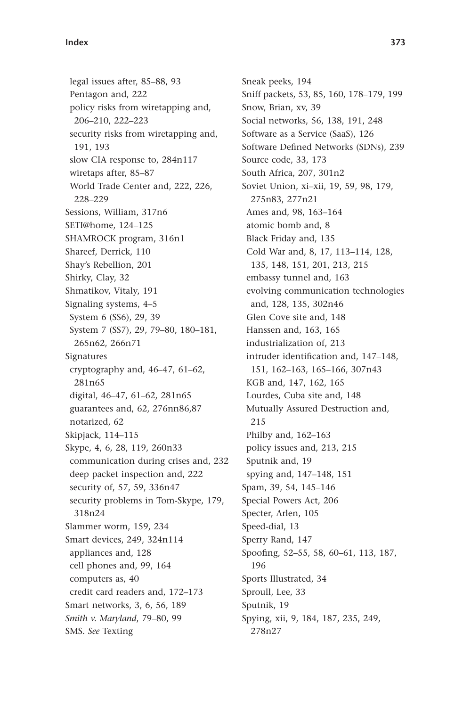## **Index 373**

legal issues after, 85-88, 93 Pentagon and, 222 policy risks from wiretapping and, 206 – 210, 222 – 223 security risks from wiretapping and, 191, 193 slow CIA response to, 284n117 wiretaps after, 85-87 World Trade Center and, 222, 226, 228 – 229 Sessions, William, 317n6 SETI@home, 124-125 SHAMROCK program, 316n1 Shareef, Derrick, 110 Shay's Rebellion, 201 Shirky, Clay, 32 Shmatikov, Vitaly, 191 Signaling systems, 4-5 System 6 (SS6), 29, 39 System 7 (SS7), 29, 79-80, 180-181, 265n62, 266n71 Signatures cryptography and, 46-47, 61-62, 281n65 digital, 46-47, 61-62, 281n65 guarantees and, 62, 276nn86,87 notarized, 62 Skipjack, 114-115 Skype, 4, 6, 28, 119, 260n33 communication during crises and, 232 deep packet inspection and, 222 security of, 57, 59, 336n47 security problems in Tom-Skype, 179, 318n24 Slammer worm, 159, 234 Smart devices, 249, 324n114 appliances and, 128 cell phones and, 99, 164 computers as, 40 credit card readers and, 172-173 Smart networks, 3, 6, 56, 189 *Smith v. Maryland, 79-80, 99* SMS. *See* Texting

Sneak peeks, 194 Sniff packets, 53, 85, 160, 178-179, 199 Snow, Brian, xv, 39 Social networks, 56, 138, 191, 248 Software as a Service (SaaS), 126 Software Defined Networks (SDNs), 239 Source code, 33, 173 South Africa, 207, 301n2 Soviet Union, xi-xii, 19, 59, 98, 179, 275n83, 277n21 Ames and, 98, 163-164 atomic bomb and, 8 Black Friday and, 135 Cold War and, 8, 17, 113-114, 128, 135, 148, 151, 201, 213, 215 embassy tunnel and, 163 evolving communication technologies and, 128, 135, 302n46 Glen Cove site and, 148 Hanssen and, 163, 165 industrialization of, 213 intruder identification and, 147-148, 151, 162-163, 165-166, 307n43 KGB and, 147, 162, 165 Lourdes, Cuba site and, 148 Mutually Assured Destruction and, 215 Philby and, 162-163 policy issues and, 213, 215 Sputnik and, 19 spying and, 147-148, 151 Spam, 39, 54, 145-146 Special Powers Act, 206 Specter, Arlen, 105 Speed-dial, 13 Sperry Rand, 147 Spoofing, 52-55, 58, 60-61, 113, 187, 196 Sports Illustrated, 34 Sproull, Lee, 33 Sputnik, 19 Spying, xii, 9, 184, 187, 235, 249, 278n27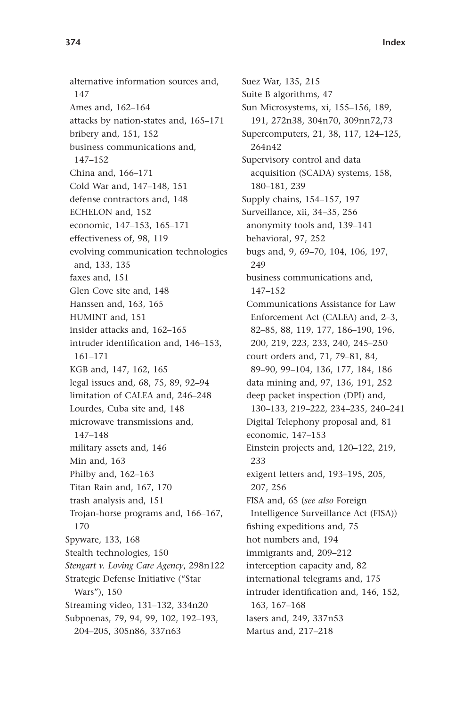alternative information sources and, 147 Ames and, 162-164 attacks by nation-states and, 165-171 bribery and, 151, 152 business communications and, 147-152 China and, 166-171 Cold War and, 147-148, 151 defense contractors and, 148 ECHELON and, 152 economic, 147-153, 165-171 effectiveness of, 98, 119 evolving communication technologies and, 133, 135 faxes and, 151 Glen Cove site and, 148 Hanssen and, 163, 165 HUMINT and, 151 insider attacks and, 162-165 intruder identification and, 146-153, 161 – 171 KGB and, 147, 162, 165 legal issues and, 68, 75, 89, 92-94 limitation of CALEA and, 246-248 Lourdes, Cuba site and, 148 microwave transmissions and, 147-148 military assets and, 146 Min and, 163 Philby and, 162-163 Titan Rain and, 167, 170 trash analysis and, 151 Trojan-horse programs and, 166–167, 170 Spyware, 133, 168 Stealth technologies, 150 *Stengart v. Loving Care Agency*, 298n122 Strategic Defense Initiative ("Star Wars"), 150 Streaming video, 131-132, 334n20 Subpoenas, 79, 94, 99, 102, 192-193, 204-205, 305n86, 337n63

Suez War, 135, 215 Suite B algorithms, 47 Sun Microsystems, xi, 155-156, 189, 191, 272n38, 304n70, 309nn72,73 Supercomputers, 21, 38, 117, 124-125, 264n42 Supervisory control and data acquisition (SCADA) systems, 158, 180-181, 239 Supply chains, 154-157, 197 Surveillance, xii, 34-35, 256 anonymity tools and, 139-141 behavioral, 97, 252 bugs and, 9, 69-70, 104, 106, 197, 249 business communications and,  $147 - 152$ Communications Assistance for Law Enforcement Act (CALEA) and, 2-3, 82-85, 88, 119, 177, 186-190, 196, 200, 219, 223, 233, 240, 245 – 250 court orders and, 71, 79-81, 84, 89 – 90, 99 – 104, 136, 177, 184, 186 data mining and, 97, 136, 191, 252 deep packet inspection (DPI) and, 130-133, 219-222, 234-235, 240-241 Digital Telephony proposal and, 81 economic, 147-153 Einstein projects and, 120-122, 219, 233 exigent letters and, 193-195, 205, 207, 256 FISA and, 65 (see also Foreign Intelligence Surveillance Act (FISA)) fishing expeditions and, 75 hot numbers and, 194 immigrants and, 209-212 interception capacity and, 82 international telegrams and, 175 intruder identification and, 146, 152, 163, 167-168 lasers and, 249, 337n53 Martus and, 217-218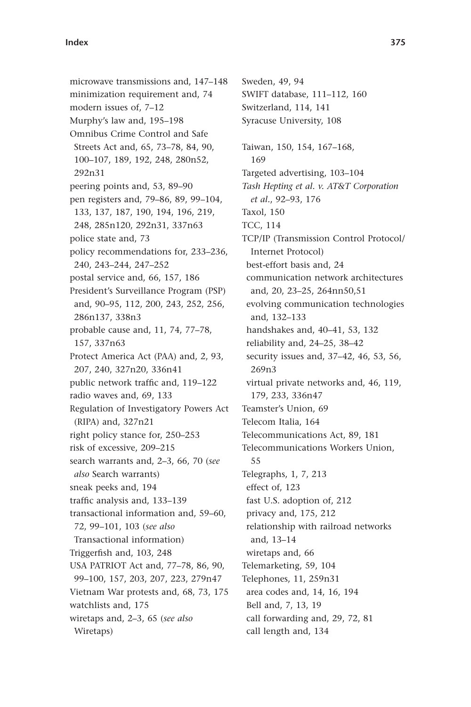microwave transmissions and, 147-148 minimization requirement and, 74 modern issues of, 7-12 Murphy's law and, 195-198 Omnibus Crime Control and Safe Streets Act and, 65, 73-78, 84, 90, 100-107, 189, 192, 248, 280n52, 292n31 peering points and, 53, 89–90 pen registers and, 79-86, 89, 99-104, 133, 137, 187, 190, 194, 196, 219, 248, 285n120, 292n31, 337n63 police state and, 73 policy recommendations for, 233-236, 240, 243-244, 247-252 postal service and, 66, 157, 186 President's Surveillance Program (PSP) and, 90-95, 112, 200, 243, 252, 256, 286n137, 338n3 probable cause and, 11, 74, 77-78, 157, 337n63 Protect America Act (PAA) and, 2, 93, 207, 240, 327n20, 336n41 public network traffic and, 119-122 radio waves and, 69, 133 Regulation of Investigatory Powers Act (RIPA) and, 327n21 right policy stance for, 250–253 risk of excessive, 209-215 search warrants and, 2-3, 66, 70 (see *also* Search warrants) sneak peeks and, 194 traffic analysis and, 133-139 transactional information and, 59-60, 72, 99 – 101, 103 ( *see also* Transactional information) Triggerfish and, 103, 248 USA PATRIOT Act and, 77-78, 86, 90, 99-100, 157, 203, 207, 223, 279n47 Vietnam War protests and, 68, 73, 175 watchlists and, 175 wiretaps and, 2-3, 65 (see also Wiretaps)

Sweden, 49, 94 SWIFT database, 111-112, 160 Switzerland, 114, 141 Syracuse University, 108 Taiwan, 150, 154, 167-168, 169 Targeted advertising, 103-104 *Tash Hepting et al. v. AT&T Corporation et al.*, 92-93, 176 Taxol, 150 TCC, 114 TCP/IP (Transmission Control Protocol/ Internet Protocol) best-effort basis and, 24 communication network architectures and, 20, 23-25, 264nn50,51 evolving communication technologies and, 132-133 handshakes and, 40-41, 53, 132 reliability and, 24-25, 38-42 security issues and, 37-42, 46, 53, 56, 269n3 virtual private networks and, 46, 119, 179, 233, 336n47 Teamster's Union, 69 Telecom Italia, 164 Telecommunications Act, 89, 181 Telecommunications Workers Union, 55 Telegraphs, 1, 7, 213 effect of, 123 fast U.S. adoption of, 212 privacy and, 175, 212 relationship with railroad networks and, 13-14 wiretaps and, 66 Telemarketing, 59, 104 Telephones, 11, 259n31 area codes and, 14, 16, 194 Bell and, 7, 13, 19 call forwarding and, 29, 72, 81 call length and, 134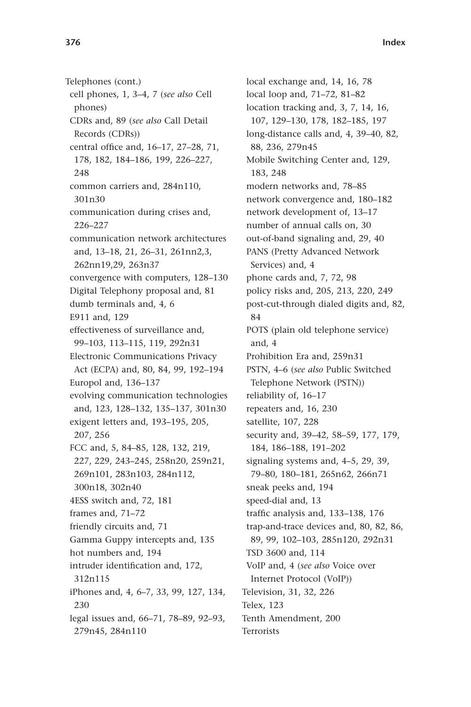Telephones (cont.) cell phones, 1, 3-4, 7 (see also Cell phones) CDRs and, 89 ( *see also* Call Detail Records (CDRs)) central office and, 16-17, 27-28, 71, 178, 182, 184-186, 199, 226-227, 248 common carriers and, 284n110, 301n30 communication during crises and, 226 – 227 communication network architectures and, 13-18, 21, 26-31, 261nn2,3, 262nn19,29, 263n37 convergence with computers, 128-130 Digital Telephony proposal and, 81 dumb terminals and, 4, 6 E911 and, 129 effectiveness of surveillance and, 99-103, 113-115, 119, 292n31 Electronic Communications Privacy Act (ECPA) and, 80, 84, 99, 192-194 Europol and, 136-137 evolving communication technologies and, 123, 128-132, 135-137, 301n30 exigent letters and, 193-195, 205, 207, 256 FCC and, 5, 84-85, 128, 132, 219, 227, 229, 243-245, 258n20, 259n21, 269n101, 283n103, 284n112, 300n18, 302n40 4ESS switch and, 72, 181 frames and, 71-72 friendly circuits and, 71 Gamma Guppy intercepts and, 135 hot numbers and, 194 intruder identification and, 172, 312n115 iPhones and, 4, 6-7, 33, 99, 127, 134, 230 legal issues and, 66-71, 78-89, 92-93, 279n45, 284n110

local exchange and, 14, 16, 78 local loop and, 71-72, 81-82 location tracking and, 3, 7, 14, 16, 107, 129-130, 178, 182-185, 197 long-distance calls and, 4, 39-40, 82, 88, 236, 279n45 Mobile Switching Center and, 129, 183, 248 modern networks and, 78-85 network convergence and, 180-182 network development of, 13-17 number of annual calls on, 30 out-of-band signaling and, 29, 40 PANS (Pretty Advanced Network Services) and, 4 phone cards and, 7, 72, 98 policy risks and, 205, 213, 220, 249 post-cut-through dialed digits and, 82, 84 POTS (plain old telephone service) and, 4 Prohibition Era and, 259n31 PSTN, 4-6 (see also Public Switched Telephone Network (PSTN)) reliability of, 16-17 repeaters and, 16, 230 satellite, 107, 228 security and, 39-42, 58-59, 177, 179, 184, 186-188, 191-202 signaling systems and,  $4-5$ ,  $29$ ,  $39$ , 79-80, 180-181, 265n62, 266n71 sneak peeks and, 194 speed-dial and, 13 traffic analysis and, 133-138, 176 trap-and-trace devices and, 80, 82, 86, 89, 99, 102-103, 285n120, 292n31 TSD 3600 and, 114 VoIP and, 4 ( *see also* Voice over Internet Protocol (VoIP)) Television, 31, 32, 226 Telex, 123 Tenth Amendment, 200 **Terrorists**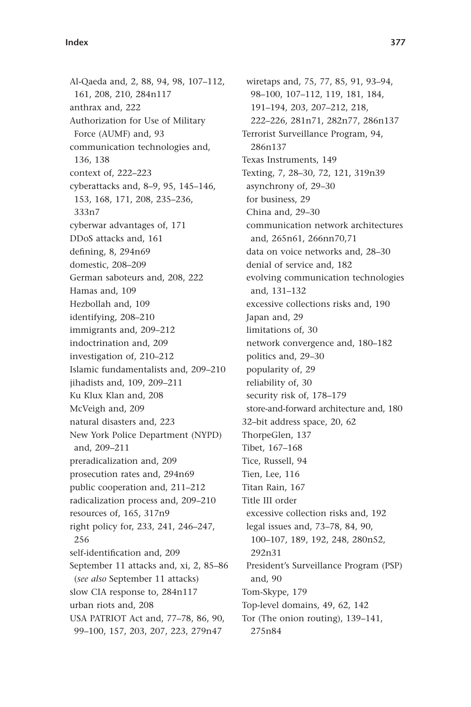Al-Qaeda and, 2, 88, 94, 98, 107-112, 161, 208, 210, 284n117 anthrax and, 222 Authorization for Use of Military Force (AUMF) and, 93 communication technologies and, 136, 138 context of, 222-223 cyberattacks and, 8-9, 95, 145-146, 153, 168, 171, 208, 235-236, 333n7 cyberwar advantages of, 171 DDoS attacks and, 161 defining, 8, 294n69 domestic, 208-209 German saboteurs and, 208, 222 Hamas and, 109 Hezbollah and, 109 identifying, 208-210 immigrants and, 209-212 indoctrination and, 209 investigation of, 210-212 Islamic fundamentalists and, 209-210 jihadists and, 109, 209-211 Ku Klux Klan and, 208 McVeigh and, 209 natural disasters and, 223 New York Police Department (NYPD) and, 209-211 preradicalization and, 209 prosecution rates and, 294n69 public cooperation and, 211-212 radicalization process and, 209-210 resources of, 165, 317n9 right policy for, 233, 241, 246-247, 256 self-identification and, 209 September 11 attacks and, xi, 2, 85-86 ( *see also* September 11 attacks) slow CIA response to, 284n117 urban riots and, 208 USA PATRIOT Act and, 77-78, 86, 90, 99-100, 157, 203, 207, 223, 279n47

wiretaps and, 75, 77, 85, 91, 93-94, 98 – 100, 107 – 112, 119, 181, 184, 191-194, 203, 207-212, 218, 222-226, 281n71, 282n77, 286n137 Terrorist Surveillance Program, 94, 286n137 Texas Instruments, 149 Texting, 7, 28-30, 72, 121, 319n39 asynchrony of, 29-30 for business, 29 China and, 29-30 communication network architectures and, 265n61, 266nn70,71 data on voice networks and, 28-30 denial of service and, 182 evolving communication technologies and, 131-132 excessive collections risks and, 190 Japan and, 29 limitations of, 30 network convergence and, 180-182 politics and, 29-30 popularity of, 29 reliability of, 30 security risk of, 178-179 store-and-forward architecture and, 180 32-bit address space, 20, 62 ThorpeGlen, 137 Tibet, 167-168 Tice, Russell, 94 Tien, Lee, 116 Titan Rain, 167 Title III order excessive collection risks and, 192 legal issues and, 73-78, 84, 90, 100 – 107, 189, 192, 248, 280n52, 292n31 President's Surveillance Program (PSP) and, 90 Tom-Skype, 179 Top-level domains, 49, 62, 142 Tor (The onion routing), 139-141, 275n84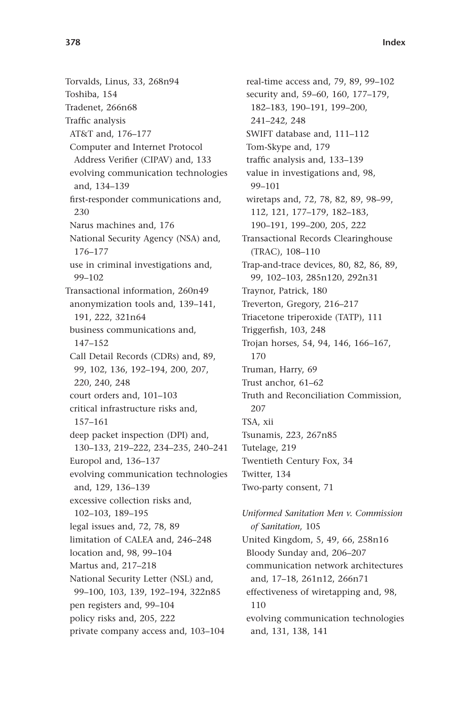Torvalds, Linus, 33, 268n94 Toshiba, 154 Tradenet, 266n68 Traffic analysis AT&T and, 176-177 Computer and Internet Protocol Address Verifier (CIPAV) and, 133 evolving communication technologies and, 134-139 first-responder communications and, 230 Narus machines and, 176 National Security Agency (NSA) and, 176 – 177 use in criminal investigations and, 99 – 102 Transactional information, 260n49 anonymization tools and, 139-141, 191, 222, 321n64 business communications and, 147-152 Call Detail Records (CDRs) and, 89, 99, 102, 136, 192-194, 200, 207, 220, 240, 248 court orders and, 101-103 critical infrastructure risks and, 157 – 161 deep packet inspection (DPI) and, 130-133, 219-222, 234-235, 240-241 Europol and, 136-137 evolving communication technologies and, 129, 136-139 excessive collection risks and, 102-103, 189-195 legal issues and, 72, 78, 89 limitation of CALEA and, 246-248 location and, 98, 99-104 Martus and, 217-218 National Security Letter (NSL) and, 99-100, 103, 139, 192-194, 322n85 pen registers and, 99-104 policy risks and, 205, 222 private company access and, 103-104

real-time access and, 79, 89, 99-102 security and, 59-60, 160, 177-179, 182-183, 190-191, 199-200, 241-242, 248 SWIFT database and, 111-112 Tom-Skype and, 179 traffic analysis and, 133-139 value in investigations and, 98, 99 – 101 wiretaps and, 72, 78, 82, 89, 98-99, 112, 121, 177-179, 182-183, 190-191, 199-200, 205, 222 Transactional Records Clearinghouse (TRAC), 108-110 Trap-and-trace devices, 80, 82, 86, 89, 99, 102-103, 285n120, 292n31 Traynor, Patrick, 180 Treverton, Gregory, 216-217 Triacetone triperoxide (TATP), 111 Triggerfish, 103, 248 Trojan horses, 54, 94, 146, 166-167, 170 Truman, Harry, 69 Trust anchor, 61-62 Truth and Reconciliation Commission, 207 TSA, xii Tsunamis, 223, 267n85 Tutelage, 219 Twentieth Century Fox, 34 Twitter, 134 Two-party consent, 71

*Uniformed Sanitation Men v. Commission of Sanitation,* 105 United Kingdom, 5, 49, 66, 258n16 Bloody Sunday and, 206-207 communication network architectures and, 17-18, 261n12, 266n71 effectiveness of wiretapping and, 98, 110 evolving communication technologies and, 131, 138, 141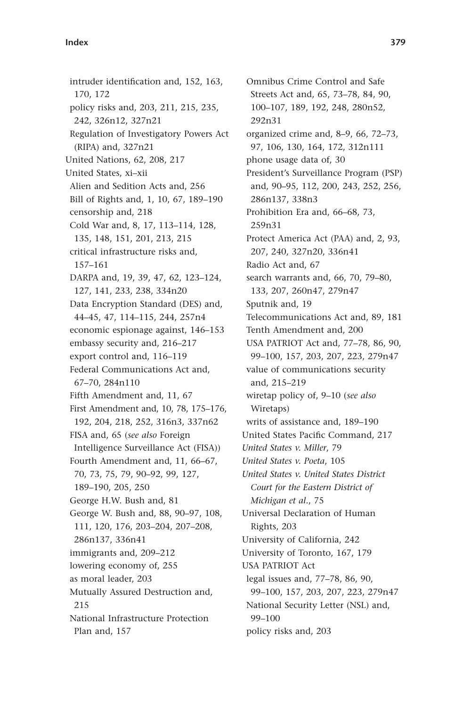intruder identification and, 152, 163, 170, 172 policy risks and, 203, 211, 215, 235, 242, 326n12, 327n21 Regulation of Investigatory Powers Act (RIPA) and, 327n21 United Nations, 62, 208, 217 United States, xi-xii Alien and Sedition Acts and, 256 Bill of Rights and, 1, 10, 67, 189-190 censorship and, 218 Cold War and, 8, 17, 113-114, 128, 135, 148, 151, 201, 213, 215 critical infrastructure risks and, 157 – 161 DARPA and, 19, 39, 47, 62, 123-124, 127, 141, 233, 238, 334n20 Data Encryption Standard (DES) and, 44-45, 47, 114-115, 244, 257n4 economic espionage against, 146-153 embassy security and, 216-217 export control and, 116-119 Federal Communications Act and, 67-70, 284n110 Fifth Amendment and, 11, 67 First Amendment and, 10, 78, 175-176, 192, 204, 218, 252, 316n3, 337n62 FISA and, 65 ( *see also* Foreign Intelligence Surveillance Act (FISA)) Fourth Amendment and, 11, 66-67, 70, 73, 75, 79, 90-92, 99, 127, 189-190, 205, 250 George H.W. Bush and, 81 George W. Bush and, 88, 90-97, 108, 111, 120, 176, 203-204, 207-208, 286n137, 336n41 immigrants and, 209-212 lowering economy of, 255 as moral leader, 203 Mutually Assured Destruction and, 215 National Infrastructure Protection Plan and, 157

Omnibus Crime Control and Safe Streets Act and, 65, 73-78, 84, 90, 100-107, 189, 192, 248, 280n52, 292n31 organized crime and, 8–9, 66, 72–73, 97, 106, 130, 164, 172, 312n111 phone usage data of, 30 President's Surveillance Program (PSP) and, 90-95, 112, 200, 243, 252, 256, 286n137, 338n3 Prohibition Era and, 66-68, 73, 259n31 Protect America Act (PAA) and, 2, 93, 207, 240, 327n20, 336n41 Radio Act and, 67 search warrants and, 66, 70, 79-80, 133, 207, 260n47, 279n47 Sputnik and, 19 Telecommunications Act and, 89, 181 Tenth Amendment and, 200 USA PATRIOT Act and, 77-78, 86, 90, 99-100, 157, 203, 207, 223, 279n47 value of communications security and, 215-219 wiretap policy of, 9-10 (see also Wiretaps) writs of assistance and, 189-190 United States Pacific Command, 217 *United States v. Miller*, 79 *United States v. Poeta*, 105 *United States v. United States District Court for the Eastern District of Michigan et al.*, 75 Universal Declaration of Human Rights, 203 University of California, 242 University of Toronto, 167, 179 USA PATRIOT Act legal issues and, 77-78, 86, 90, 99-100, 157, 203, 207, 223, 279n47 National Security Letter (NSL) and, 99-100 policy risks and, 203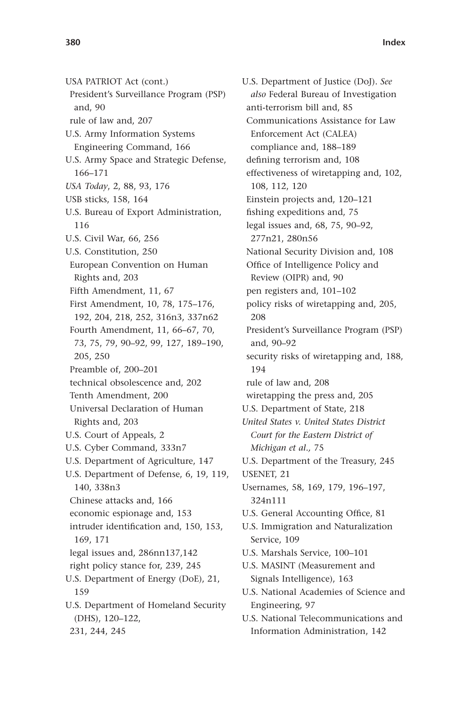USA PATRIOT Act (cont.) President's Surveillance Program (PSP) and, 90 rule of law and, 207 U.S. Army Information Systems Engineering Command, 166 U.S. Army Space and Strategic Defense, 166 – 171 *USA Today*, 2, 88, 93, 176 USB sticks, 158, 164 U.S. Bureau of Export Administration, 116 U.S. Civil War, 66, 256 U.S. Constitution, 250 European Convention on Human Rights and, 203 Fifth Amendment, 11, 67 First Amendment, 10, 78, 175-176, 192, 204, 218, 252, 316n3, 337n62 Fourth Amendment, 11, 66-67, 70, 73, 75, 79, 90-92, 99, 127, 189-190, 205, 250 Preamble of, 200-201 technical obsolescence and, 202 Tenth Amendment, 200 Universal Declaration of Human Rights and, 203 U.S. Court of Appeals, 2 U.S. Cyber Command, 333n7 U.S. Department of Agriculture, 147 U.S. Department of Defense, 6, 19, 119, 140, 338n3 Chinese attacks and, 166 economic espionage and, 153 intruder identification and, 150, 153, 169, 171 legal issues and, 286nn137,142 right policy stance for, 239, 245 U.S. Department of Energy (DoE), 21, 159 U.S. Department of Homeland Security (DHS), 120-122, 231, 244, 245

U.S. Department of Justice (DoJ). *See also* Federal Bureau of Investigation anti-terrorism bill and, 85 Communications Assistance for Law Enforcement Act (CALEA) compliance and, 188-189 defining terrorism and, 108 effectiveness of wiretapping and, 102, 108, 112, 120 Einstein projects and, 120–121 fishing expeditions and, 75 legal issues and, 68, 75, 90-92, 277n21, 280n56 National Security Division and, 108 Office of Intelligence Policy and Review (OIPR) and, 90 pen registers and, 101-102 policy risks of wiretapping and, 205, 208 President's Surveillance Program (PSP) and, 90-92 security risks of wiretapping and, 188, 194 rule of law and, 208 wiretapping the press and, 205 U.S. Department of State, 218 *United States v. United States District Court for the Eastern District of Michigan et al.,* 75 U.S. Department of the Treasury, 245 USENET, 21 Usernames, 58, 169, 179, 196-197, 324n111 U.S. General Accounting Office, 81 U.S. Immigration and Naturalization Service, 109 U.S. Marshals Service, 100-101 U.S. MASINT (Measurement and Signals Intelligence), 163 U.S. National Academies of Science and Engineering, 97 U.S. National Telecommunications and Information Administration, 142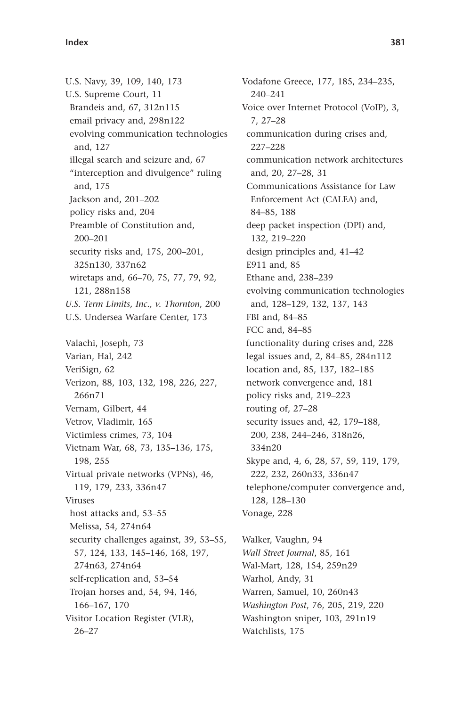U.S. Navy, 39, 109, 140, 173 U.S. Supreme Court, 11 Brandeis and, 67, 312n115 email privacy and, 298n122 evolving communication technologies and, 127 illegal search and seizure and, 67 "interception and divulgence" ruling and, 175 Jackson and, 201-202 policy risks and, 204 Preamble of Constitution and, 200 – 201 security risks and, 175, 200-201, 325n130, 337n62 wiretaps and, 66-70, 75, 77, 79, 92, 121, 288n158 *U.S. Term Limits, Inc., v. Thornton*, 200 U.S. Undersea Warfare Center, 173 Valachi, Joseph, 73 Varian, Hal, 242 VeriSign, 62 Verizon, 88, 103, 132, 198, 226, 227, 266n71 Vernam, Gilbert, 44 Vetrov, Vladimir, 165 Victimless crimes, 73, 104 Vietnam War, 68, 73, 135-136, 175, 198, 255 Virtual private networks (VPNs), 46, 119, 179, 233, 336n47 Viruses host attacks and, 53-55 Melissa, 54, 274n64 security challenges against, 39, 53–55, 57, 124, 133, 145-146, 168, 197, 274n63, 274n64 self-replication and, 53-54 Trojan horses and, 54, 94, 146, 166-167, 170 Visitor Location Register (VLR),  $26 - 27$ 

Vodafone Greece, 177, 185, 234-235, 240 – 241 Voice over Internet Protocol (VoIP), 3, 7, 27 – 28 communication during crises and, 227 – 228 communication network architectures and, 20, 27-28, 31 Communications Assistance for Law Enforcement Act (CALEA) and, 84 – 85, 188 deep packet inspection (DPI) and, 132, 219 – 220 design principles and, 41-42 E911 and, 85 Ethane and, 238-239 evolving communication technologies and, 128-129, 132, 137, 143 FBI and, 84-85 FCC and, 84-85 functionality during crises and, 228 legal issues and, 2, 84-85, 284n112 location and, 85, 137, 182-185 network convergence and, 181 policy risks and, 219-223 routing of, 27-28 security issues and, 42, 179-188, 200, 238, 244-246, 318n26, 334n20 Skype and, 4, 6, 28, 57, 59, 119, 179, 222, 232, 260n33, 336n47 telephone/computer convergence and, 128-130 Vonage, 228 Walker, Vaughn, 94

*Wall Street Journal*, 85, 161 Wal-Mart, 128, 154, 259n29 Warhol, Andy, 31 Warren, Samuel, 10, 260n43 *Washington Post*, 76, 205, 219, 220 Washington sniper, 103, 291n19 Watchlists, 175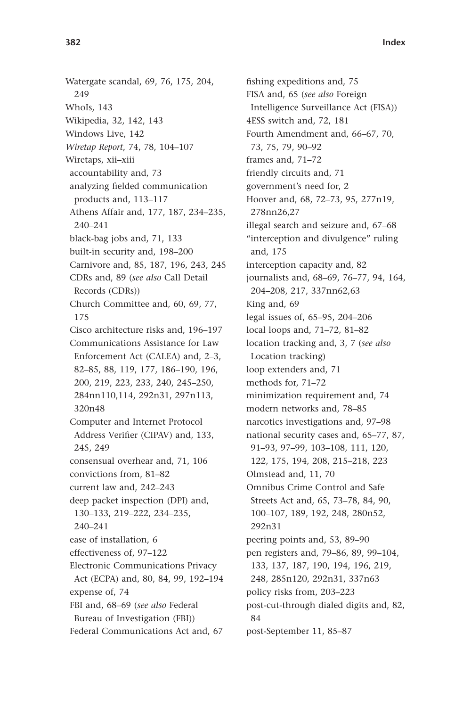Watergate scandal, 69, 76, 175, 204, 249 WhoIs, 143 Wikipedia, 32, 142, 143 Windows Live, 142 *Wiretap Report, 74, 78, 104-107* Wiretaps, xii-xiii accountability and, 73 analyzing fielded communication products and, 113-117 Athens Affair and, 177, 187, 234-235, 240-241 black-bag jobs and, 71, 133 built-in security and, 198-200 Carnivore and, 85, 187, 196, 243, 245 CDRs and, 89 ( *see also* Call Detail Records (CDRs)) Church Committee and, 60, 69, 77, 175 Cisco architecture risks and, 196-197 Communications Assistance for Law Enforcement Act (CALEA) and, 2-3, 82-85, 88, 119, 177, 186-190, 196, 200, 219, 223, 233, 240, 245 – 250, 284nn110,114, 292n31, 297n113, 320n48 Computer and Internet Protocol Address Verifier (CIPAV) and, 133, 245, 249 consensual overhear and, 71, 106 convictions from, 81-82 current law and, 242-243 deep packet inspection (DPI) and, 130 – 133, 219 – 222, 234 – 235, 240-241 ease of installation, 6 effectiveness of, 97-122 Electronic Communications Privacy Act (ECPA) and, 80, 84, 99, 192-194 expense of, 74 FBI and, 68-69 (see also Federal Bureau of Investigation (FBI)) Federal Communications Act and, 67

fishing expeditions and, 75 FISA and, 65 ( *see also* Foreign Intelligence Surveillance Act (FISA)) 4ESS switch and, 72, 181 Fourth Amendment and, 66–67, 70, 73, 75, 79, 90-92 frames and, 71-72 friendly circuits and, 71 government's need for, 2 Hoover and, 68, 72-73, 95, 277n19, 278nn26,27 illegal search and seizure and, 67–68 "interception and divulgence" ruling and, 175 interception capacity and, 82 journalists and, 68-69, 76-77, 94, 164, 204-208, 217, 337nn62,63 King and, 69 legal issues of, 65-95, 204-206 local loops and, 71-72, 81-82 location tracking and, 3, 7 (see also Location tracking) loop extenders and, 71 methods for, 71-72 minimization requirement and, 74 modern networks and, 78-85 narcotics investigations and, 97-98 national security cases and, 65-77, 87, 91 - 93, 97 - 99, 103 - 108, 111, 120, 122, 175, 194, 208, 215-218, 223 Olmstead and, 11, 70 Omnibus Crime Control and Safe Streets Act and, 65, 73-78, 84, 90, 100-107, 189, 192, 248, 280n52, 292n31 peering points and, 53, 89–90 pen registers and, 79-86, 89, 99-104, 133, 137, 187, 190, 194, 196, 219, 248, 285n120, 292n31, 337n63 policy risks from, 203-223 post-cut-through dialed digits and, 82, 84 post-September 11, 85-87